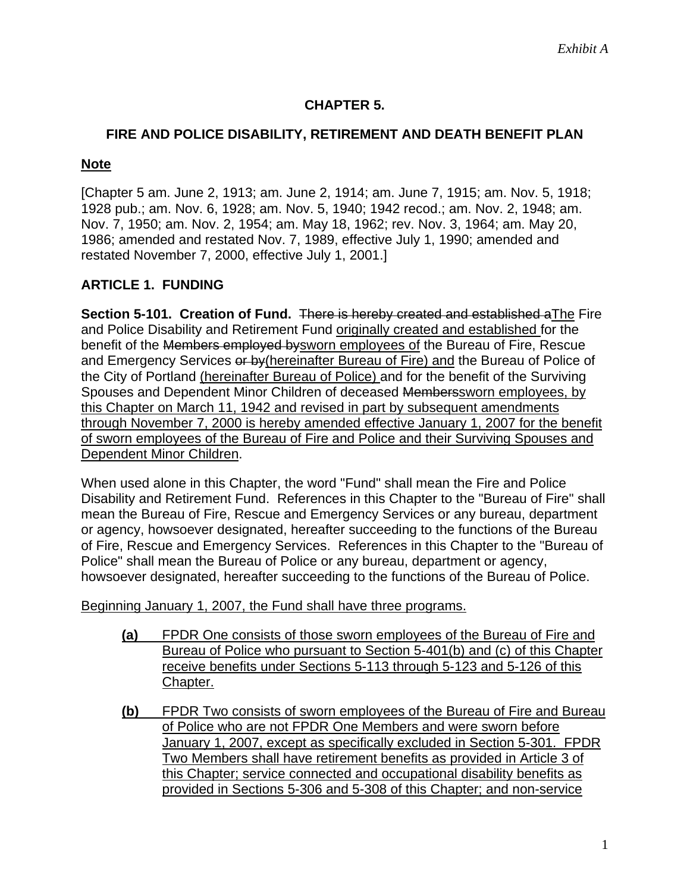# **CHAPTER 5.**

## **FIRE AND POLICE DISABILITY, RETIREMENT AND DEATH BENEFIT PLAN**

### **Note**

[Chapter 5 am. June 2, 1913; am. June 2, 1914; am. June 7, 1915; am. Nov. 5, 1918; 1928 pub.; am. Nov. 6, 1928; am. Nov. 5, 1940; 1942 recod.; am. Nov. 2, 1948; am. Nov. 7, 1950; am. Nov. 2, 1954; am. May 18, 1962; rev. Nov. 3, 1964; am. May 20, 1986; amended and restated Nov. 7, 1989, effective July 1, 1990; amended and restated November 7, 2000, effective July 1, 2001.]

### **ARTICLE 1. FUNDING**

**Section 5-101. Creation of Fund.** There is hereby created and established aThe Fire and Police Disability and Retirement Fund originally created and established for the benefit of the Members employed bysworn employees of the Bureau of Fire, Rescue and Emergency Services or by (hereinafter Bureau of Fire) and the Bureau of Police of the City of Portland (hereinafter Bureau of Police) and for the benefit of the Surviving Spouses and Dependent Minor Children of deceased Memberssworn employees, by this Chapter on March 11, 1942 and revised in part by subsequent amendments through November 7, 2000 is hereby amended effective January 1, 2007 for the benefit of sworn employees of the Bureau of Fire and Police and their Surviving Spouses and Dependent Minor Children.

When used alone in this Chapter, the word "Fund" shall mean the Fire and Police Disability and Retirement Fund. References in this Chapter to the "Bureau of Fire" shall mean the Bureau of Fire, Rescue and Emergency Services or any bureau, department or agency, howsoever designated, hereafter succeeding to the functions of the Bureau of Fire, Rescue and Emergency Services. References in this Chapter to the "Bureau of Police" shall mean the Bureau of Police or any bureau, department or agency, howsoever designated, hereafter succeeding to the functions of the Bureau of Police.

Beginning January 1, 2007, the Fund shall have three programs.

- **(a)** FPDR One consists of those sworn employees of the Bureau of Fire and Bureau of Police who pursuant to Section 5-401(b) and (c) of this Chapter receive benefits under Sections 5-113 through 5-123 and 5-126 of this Chapter.
- **(b)** FPDR Two consists of sworn employees of the Bureau of Fire and Bureau of Police who are not FPDR One Members and were sworn before January 1, 2007, except as specifically excluded in Section 5-301. FPDR Two Members shall have retirement benefits as provided in Article 3 of this Chapter; service connected and occupational disability benefits as provided in Sections 5-306 and 5-308 of this Chapter; and non-service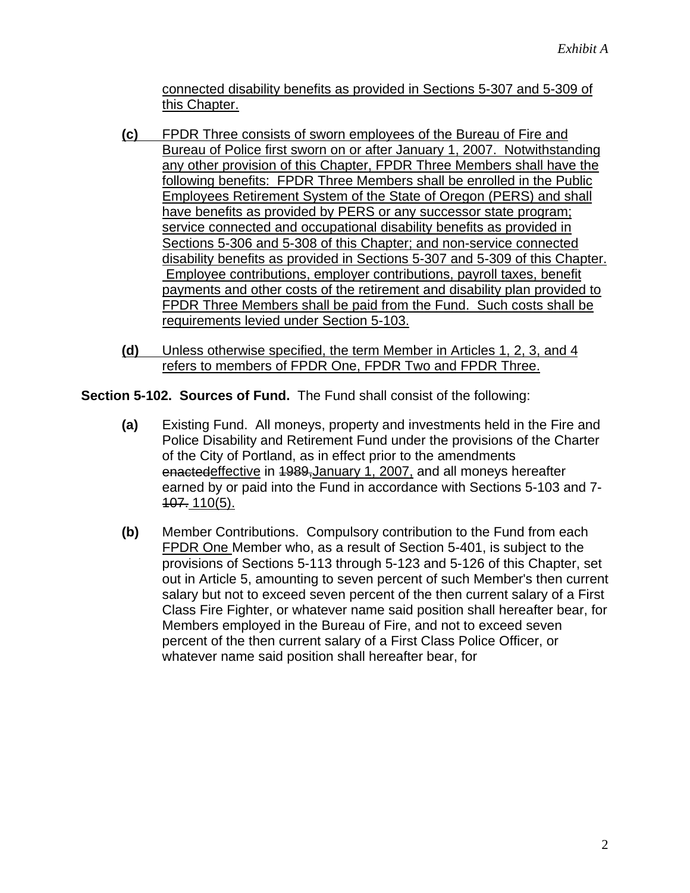connected disability benefits as provided in Sections 5-307 and 5-309 of this Chapter.

- **(c)** FPDR Three consists of sworn employees of the Bureau of Fire and Bureau of Police first sworn on or after January 1, 2007. Notwithstanding any other provision of this Chapter, FPDR Three Members shall have the following benefits: FPDR Three Members shall be enrolled in the Public Employees Retirement System of the State of Oregon (PERS) and shall have benefits as provided by PERS or any successor state program; service connected and occupational disability benefits as provided in Sections 5-306 and 5-308 of this Chapter; and non-service connected disability benefits as provided in Sections 5-307 and 5-309 of this Chapter. Employee contributions, employer contributions, payroll taxes, benefit payments and other costs of the retirement and disability plan provided to FPDR Three Members shall be paid from the Fund. Such costs shall be requirements levied under Section 5-103.
- **(d)** Unless otherwise specified, the term Member in Articles 1, 2, 3, and 4 refers to members of FPDR One, FPDR Two and FPDR Three.

**Section 5-102. Sources of Fund.** The Fund shall consist of the following:

- **(a)** Existing Fund. All moneys, property and investments held in the Fire and Police Disability and Retirement Fund under the provisions of the Charter of the City of Portland, as in effect prior to the amendments enactedeffective in 1989,January 1, 2007, and all moneys hereafter earned by or paid into the Fund in accordance with Sections 5-103 and 7- 107. 110(5).
- **(b)** Member Contributions. Compulsory contribution to the Fund from each FPDR One Member who, as a result of Section 5-401, is subject to the provisions of Sections 5-113 through 5-123 and 5-126 of this Chapter, set out in Article 5, amounting to seven percent of such Member's then current salary but not to exceed seven percent of the then current salary of a First Class Fire Fighter, or whatever name said position shall hereafter bear, for Members employed in the Bureau of Fire, and not to exceed seven percent of the then current salary of a First Class Police Officer, or whatever name said position shall hereafter bear, for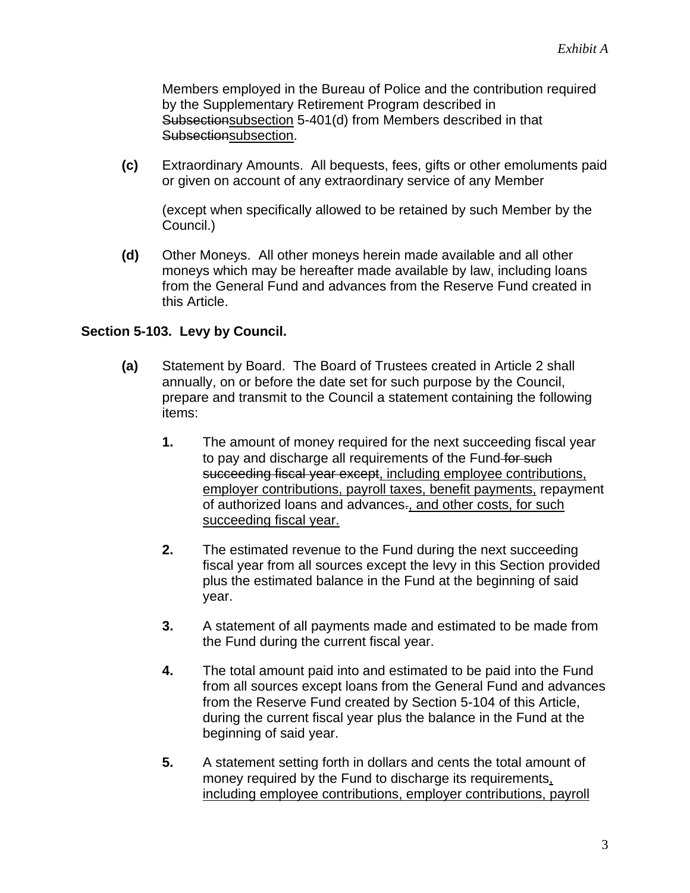Members employed in the Bureau of Police and the contribution required by the Supplementary Retirement Program described in Subsectionsubsection 5-401(d) from Members described in that Subsectionsubsection.

**(c)** Extraordinary Amounts. All bequests, fees, gifts or other emoluments paid or given on account of any extraordinary service of any Member

(except when specifically allowed to be retained by such Member by the Council.)

**(d)** Other Moneys. All other moneys herein made available and all other moneys which may be hereafter made available by law, including loans from the General Fund and advances from the Reserve Fund created in this Article.

### **Section 5-103. Levy by Council.**

- **(a)** Statement by Board. The Board of Trustees created in Article 2 shall annually, on or before the date set for such purpose by the Council, prepare and transmit to the Council a statement containing the following items:
	- **1.** The amount of money required for the next succeeding fiscal year to pay and discharge all requirements of the Fund for such succeeding fiscal year except, including employee contributions, employer contributions, payroll taxes, benefit payments, repayment of authorized loans and advances-, and other costs, for such succeeding fiscal year.
	- **2.** The estimated revenue to the Fund during the next succeeding fiscal year from all sources except the levy in this Section provided plus the estimated balance in the Fund at the beginning of said year.
	- **3.** A statement of all payments made and estimated to be made from the Fund during the current fiscal year.
	- **4.** The total amount paid into and estimated to be paid into the Fund from all sources except loans from the General Fund and advances from the Reserve Fund created by Section 5-104 of this Article, during the current fiscal year plus the balance in the Fund at the beginning of said year.
	- **5.** A statement setting forth in dollars and cents the total amount of money required by the Fund to discharge its requirements, including employee contributions, employer contributions, payroll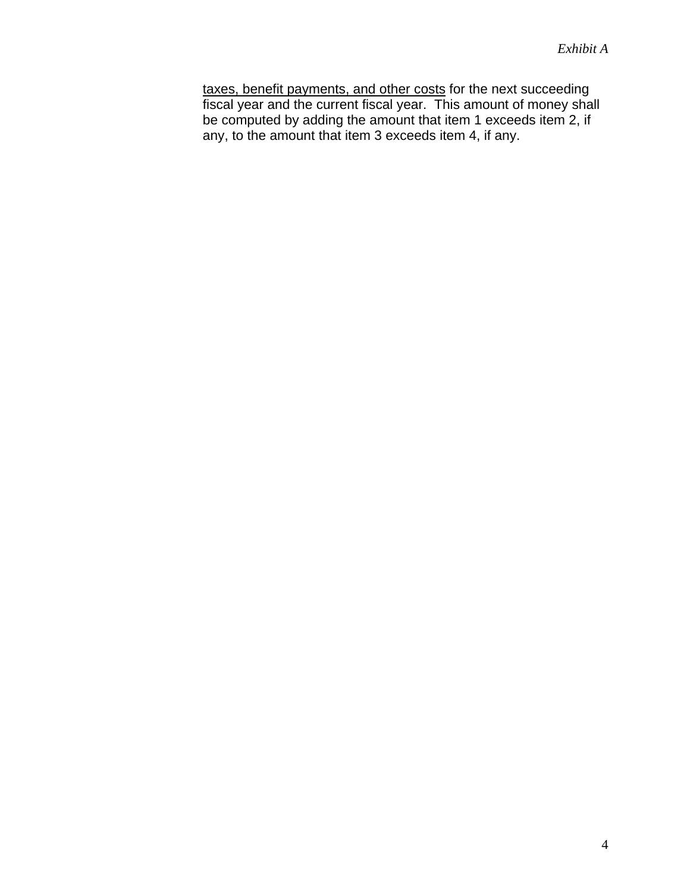taxes, benefit payments, and other costs for the next succeeding fiscal year and the current fiscal year. This amount of money shall be computed by adding the amount that item 1 exceeds item 2, if any, to the amount that item 3 exceeds item 4, if any.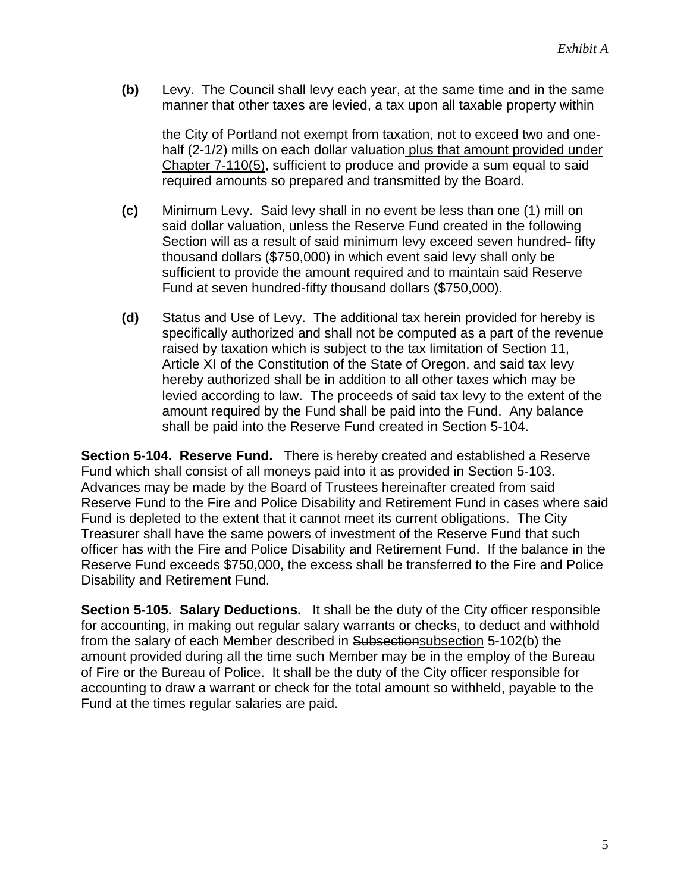**(b)** Levy. The Council shall levy each year, at the same time and in the same manner that other taxes are levied, a tax upon all taxable property within

the City of Portland not exempt from taxation, not to exceed two and onehalf (2-1/2) mills on each dollar valuation plus that amount provided under Chapter 7-110(5), sufficient to produce and provide a sum equal to said required amounts so prepared and transmitted by the Board.

- **(c)** Minimum Levy. Said levy shall in no event be less than one (1) mill on said dollar valuation, unless the Reserve Fund created in the following Section will as a result of said minimum levy exceed seven hundred- fifty thousand dollars (\$750,000) in which event said levy shall only be sufficient to provide the amount required and to maintain said Reserve Fund at seven hundred-fifty thousand dollars (\$750,000).
- **(d)** Status and Use of Levy. The additional tax herein provided for hereby is specifically authorized and shall not be computed as a part of the revenue raised by taxation which is subject to the tax limitation of Section 11, Article XI of the Constitution of the State of Oregon, and said tax levy hereby authorized shall be in addition to all other taxes which may be levied according to law. The proceeds of said tax levy to the extent of the amount required by the Fund shall be paid into the Fund. Any balance shall be paid into the Reserve Fund created in Section 5-104.

**Section 5-104. Reserve Fund.** There is hereby created and established a Reserve Fund which shall consist of all moneys paid into it as provided in Section 5-103. Advances may be made by the Board of Trustees hereinafter created from said Reserve Fund to the Fire and Police Disability and Retirement Fund in cases where said Fund is depleted to the extent that it cannot meet its current obligations. The City Treasurer shall have the same powers of investment of the Reserve Fund that such officer has with the Fire and Police Disability and Retirement Fund. If the balance in the Reserve Fund exceeds \$750,000, the excess shall be transferred to the Fire and Police Disability and Retirement Fund.

**Section 5-105. Salary Deductions.** It shall be the duty of the City officer responsible for accounting, in making out regular salary warrants or checks, to deduct and withhold from the salary of each Member described in Subsectionsubsection 5-102(b) the amount provided during all the time such Member may be in the employ of the Bureau of Fire or the Bureau of Police. It shall be the duty of the City officer responsible for accounting to draw a warrant or check for the total amount so withheld, payable to the Fund at the times regular salaries are paid.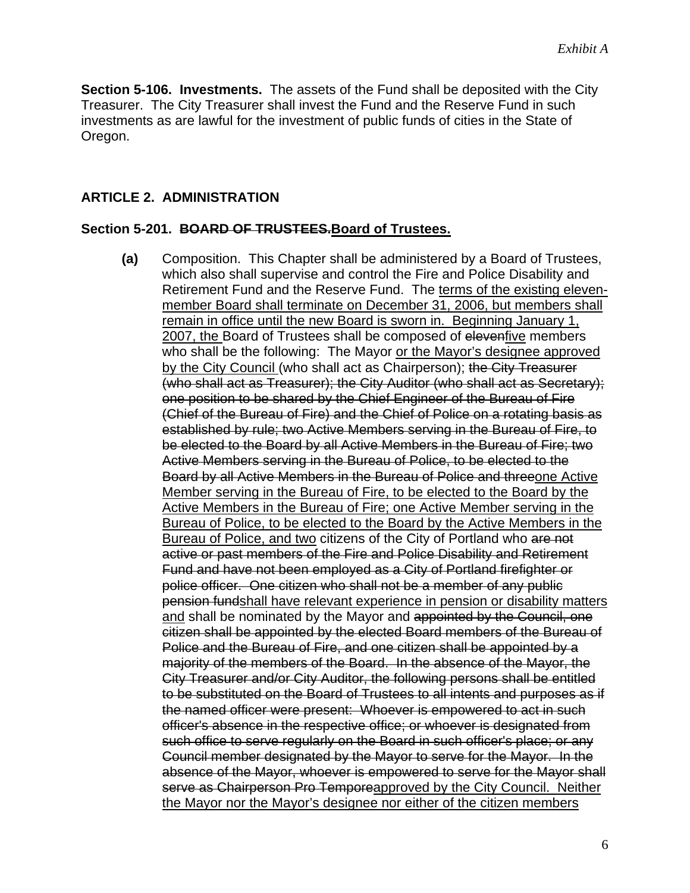**Section 5-106. Investments.** The assets of the Fund shall be deposited with the City Treasurer. The City Treasurer shall invest the Fund and the Reserve Fund in such investments as are lawful for the investment of public funds of cities in the State of Oregon.

### **ARTICLE 2. ADMINISTRATION**

#### **Section 5-201. BOARD OF TRUSTEES.Board of Trustees.**

**(a)** Composition. This Chapter shall be administered by a Board of Trustees, which also shall supervise and control the Fire and Police Disability and Retirement Fund and the Reserve Fund. The terms of the existing elevenmember Board shall terminate on December 31, 2006, but members shall remain in office until the new Board is sworn in. Beginning January 1, 2007, the Board of Trustees shall be composed of elevenfive members who shall be the following: The Mayor or the Mayor's designee approved by the City Council (who shall act as Chairperson); the City Treasurer (who shall act as Treasurer); the City Auditor (who shall act as Secretary); one position to be shared by the Chief Engineer of the Bureau of Fire (Chief of the Bureau of Fire) and the Chief of Police on a rotating basis as established by rule; two Active Members serving in the Bureau of Fire, to be elected to the Board by all Active Members in the Bureau of Fire; two Active Members serving in the Bureau of Police, to be elected to the Board by all Active Members in the Bureau of Police and threeone Active Member serving in the Bureau of Fire, to be elected to the Board by the Active Members in the Bureau of Fire; one Active Member serving in the Bureau of Police, to be elected to the Board by the Active Members in the Bureau of Police, and two citizens of the City of Portland who are not active or past members of the Fire and Police Disability and Retirement Fund and have not been employed as a City of Portland firefighter or police officer. One citizen who shall not be a member of any public pension fundshall have relevant experience in pension or disability matters and shall be nominated by the Mayor and appointed by the Council, one citizen shall be appointed by the elected Board members of the Bureau of Police and the Bureau of Fire, and one citizen shall be appointed by a majority of the members of the Board. In the absence of the Mayor, the City Treasurer and/or City Auditor, the following persons shall be entitled to be substituted on the Board of Trustees to all intents and purposes as if the named officer were present: Whoever is empowered to act in such officer's absence in the respective office; or whoever is designated from such office to serve regularly on the Board in such officer's place; or any Council member designated by the Mayor to serve for the Mayor. In the absence of the Mayor, whoever is empowered to serve for the Mayor shall serve as Chairperson Pro Temporeapproved by the City Council. Neither the Mayor nor the Mayor's designee nor either of the citizen members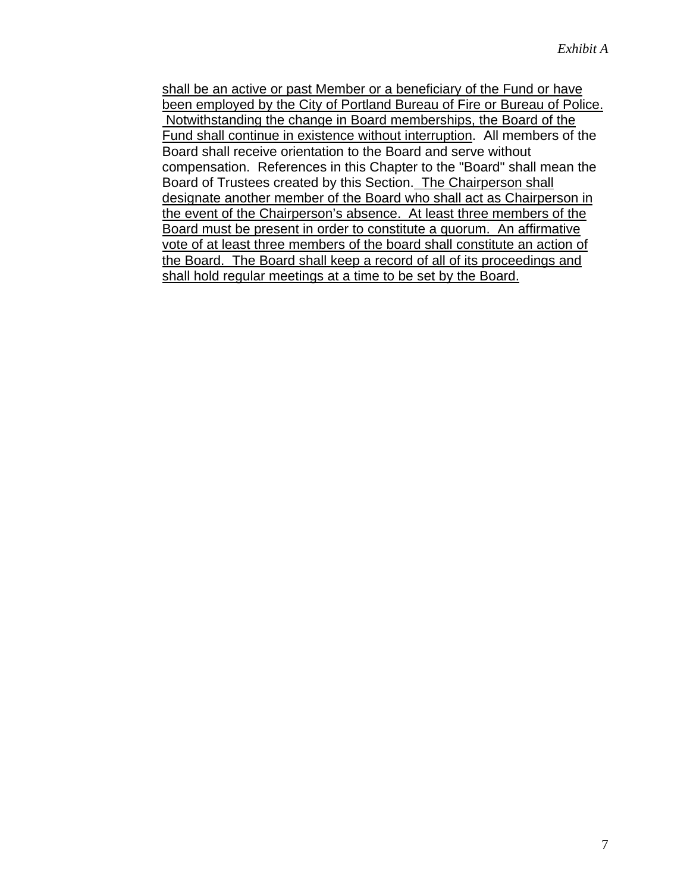shall be an active or past Member or a beneficiary of the Fund or have been employed by the City of Portland Bureau of Fire or Bureau of Police. Notwithstanding the change in Board memberships, the Board of the Fund shall continue in existence without interruption. All members of the Board shall receive orientation to the Board and serve without compensation. References in this Chapter to the "Board" shall mean the Board of Trustees created by this Section. The Chairperson shall designate another member of the Board who shall act as Chairperson in the event of the Chairperson's absence. At least three members of the Board must be present in order to constitute a quorum. An affirmative vote of at least three members of the board shall constitute an action of the Board. The Board shall keep a record of all of its proceedings and shall hold regular meetings at a time to be set by the Board.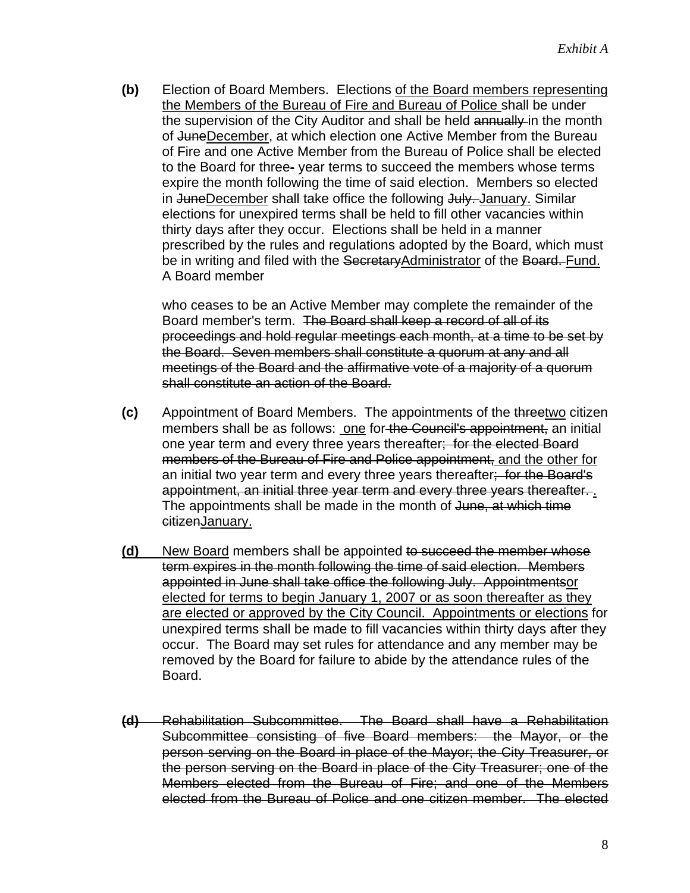**(b)** Election of Board Members. Elections of the Board members representing the Members of the Bureau of Fire and Bureau of Police shall be under the supervision of the City Auditor and shall be held annually in the month of JuneDecember, at which election one Active Member from the Bureau of Fire and one Active Member from the Bureau of Police shall be elected to the Board for three- year terms to succeed the members whose terms expire the month following the time of said election. Members so elected in JuneDecember shall take office the following July. January. Similar elections for unexpired terms shall be held to fill other vacancies within thirty days after they occur. Elections shall be held in a manner prescribed by the rules and regulations adopted by the Board, which must be in writing and filed with the SecretaryAdministrator of the Board. Fund. A Board member

 who ceases to be an Active Member may complete the remainder of the Board member's term. The Board shall keep a record of all of its proceedings and hold regular meetings each month, at a time to be set by the Board. Seven members shall constitute a quorum at any and all meetings of the Board and the affirmative vote of a majority of a quorum shall constitute an action of the Board.

- **(c)** Appointment of Board Members. The appointments of the threetwo citizen members shall be as follows: one for the Council's appointment, an initial one year term and every three years thereafter; for the elected Board members of the Bureau of Fire and Police appointment, and the other for an initial two year term and every three years thereafter; for the Board's appointment, an initial three year term and every three years thereafter. . The appointments shall be made in the month of June, at which time citizenJanuary.
- **(d)** New Board members shall be appointed to succeed the member whose term expires in the month following the time of said election. Members appointed in June shall take office the following July. Appointmentsor elected for terms to begin January 1, 2007 or as soon thereafter as they are elected or approved by the City Council. Appointments or elections for unexpired terms shall be made to fill vacancies within thirty days after they occur. The Board may set rules for attendance and any member may be removed by the Board for failure to abide by the attendance rules of the Board.
- **(d)** Rehabilitation Subcommittee. The Board shall have a Rehabilitation Subcommittee consisting of five Board members: the Mayor, or the person serving on the Board in place of the Mayor; the City Treasurer, or the person serving on the Board in place of the City Treasurer; one of the Members elected from the Bureau of Fire; and one of the Members elected from the Bureau of Police and one citizen member. The elected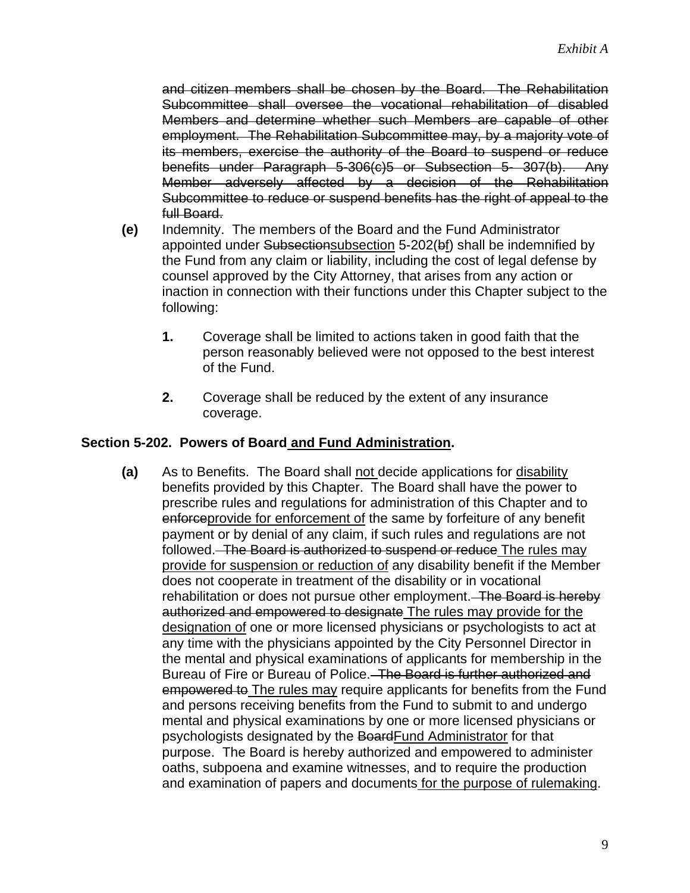and citizen members shall be chosen by the Board. The Rehabilitation Subcommittee shall oversee the vocational rehabilitation of disabled Members and determine whether such Members are capable of other employment. The Rehabilitation Subcommittee may, by a majority vote of its members, exercise the authority of the Board to suspend or reduce benefits under Paragraph 5-306(c)5 or Subsection 5- 307(b). Any Member adversely affected by a decision of the Rehabilitation Subcommittee to reduce or suspend benefits has the right of appeal to the full Board.

- **(e)** Indemnity. The members of the Board and the Fund Administrator appointed under Subsectionsubsection 5-202(bf) shall be indemnified by the Fund from any claim or liability, including the cost of legal defense by counsel approved by the City Attorney, that arises from any action or inaction in connection with their functions under this Chapter subject to the following:
	- **1.** Coverage shall be limited to actions taken in good faith that the person reasonably believed were not opposed to the best interest of the Fund.
	- **2.** Coverage shall be reduced by the extent of any insurance coverage.

### **Section 5-202. Powers of Board and Fund Administration.**

**(a)** As to Benefits. The Board shall not decide applications for disability benefits provided by this Chapter. The Board shall have the power to prescribe rules and regulations for administration of this Chapter and to enforceprovide for enforcement of the same by forfeiture of any benefit payment or by denial of any claim, if such rules and regulations are not followed. The Board is authorized to suspend or reduce The rules may provide for suspension or reduction of any disability benefit if the Member does not cooperate in treatment of the disability or in vocational rehabilitation or does not pursue other employment. The Board is hereby authorized and empowered to designate The rules may provide for the designation of one or more licensed physicians or psychologists to act at any time with the physicians appointed by the City Personnel Director in the mental and physical examinations of applicants for membership in the Bureau of Fire or Bureau of Police. The Board is further authorized and empowered to The rules may require applicants for benefits from the Fund and persons receiving benefits from the Fund to submit to and undergo mental and physical examinations by one or more licensed physicians or psychologists designated by the BoardFund Administrator for that purpose. The Board is hereby authorized and empowered to administer oaths, subpoena and examine witnesses, and to require the production and examination of papers and documents for the purpose of rulemaking.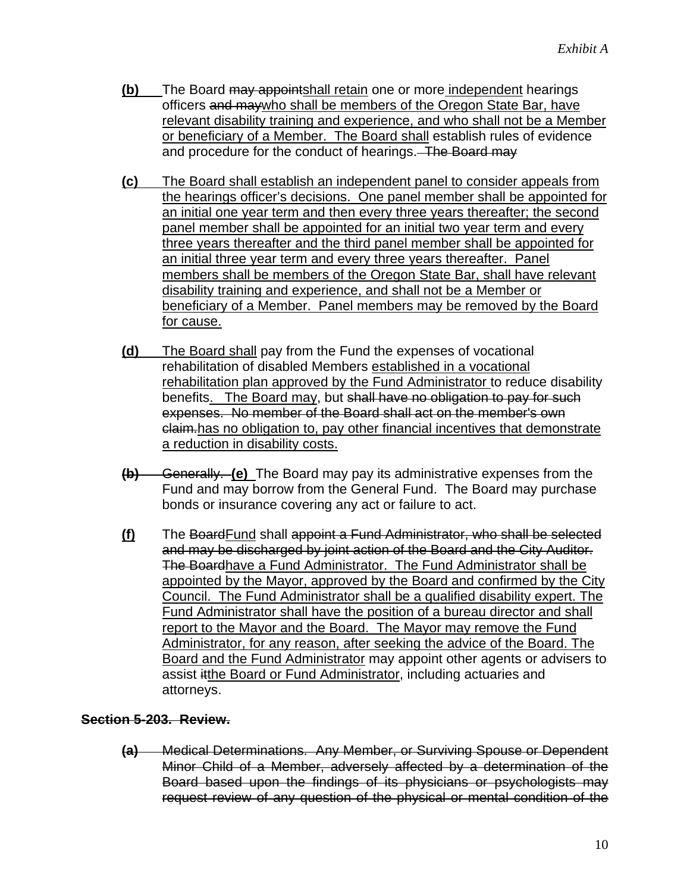- **(b)** The Board may appointshall retain one or more independent hearings officers and maywho shall be members of the Oregon State Bar, have relevant disability training and experience, and who shall not be a Member or beneficiary of a Member. The Board shall establish rules of evidence and procedure for the conduct of hearings. The Board may
- **(c)** The Board shall establish an independent panel to consider appeals from the hearings officer's decisions. One panel member shall be appointed for an initial one year term and then every three years thereafter; the second panel member shall be appointed for an initial two year term and every three years thereafter and the third panel member shall be appointed for an initial three year term and every three years thereafter. Panel members shall be members of the Oregon State Bar, shall have relevant disability training and experience, and shall not be a Member or beneficiary of a Member. Panel members may be removed by the Board for cause.
- **(d)** The Board shall pay from the Fund the expenses of vocational rehabilitation of disabled Members established in a vocational rehabilitation plan approved by the Fund Administrator to reduce disability benefits. The Board may, but shall have no obligation to pay for such expenses. No member of the Board shall act on the member's own claim.has no obligation to, pay other financial incentives that demonstrate a reduction in disability costs.
- **(b)** Generally. **(e)** The Board may pay its administrative expenses from the Fund and may borrow from the General Fund. The Board may purchase bonds or insurance covering any act or failure to act.
- **(f)** The BoardFund shall appoint a Fund Administrator, who shall be selected and may be discharged by joint action of the Board and the City Auditor. The Boardhave a Fund Administrator. The Fund Administrator shall be appointed by the Mayor, approved by the Board and confirmed by the City Council. The Fund Administrator shall be a qualified disability expert. The Fund Administrator shall have the position of a bureau director and shall report to the Mayor and the Board. The Mayor may remove the Fund Administrator, for any reason, after seeking the advice of the Board. The Board and the Fund Administrator may appoint other agents or advisers to assist itthe Board or Fund Administrator, including actuaries and attorneys.

### **Section 5-203. Review.**

**(a)** Medical Determinations. Any Member, or Surviving Spouse or Dependent Minor Child of a Member, adversely affected by a determination of the Board based upon the findings of its physicians or psychologists may request review of any question of the physical or mental condition of the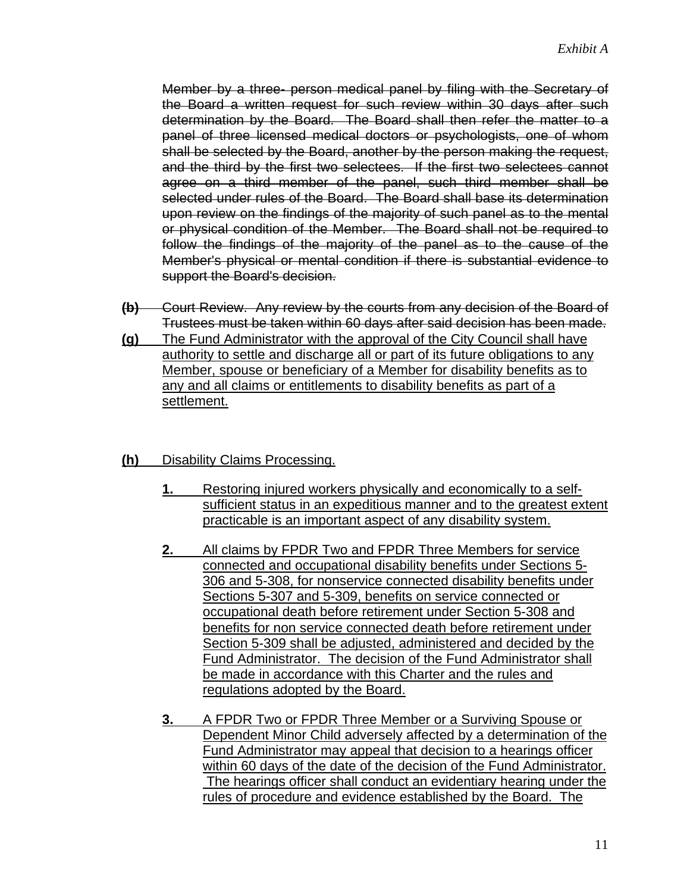Member by a three- person medical panel by filing with the Secretary of the Board a written request for such review within 30 days after such determination by the Board. The Board shall then refer the matter to a panel of three licensed medical doctors or psychologists, one of whom shall be selected by the Board, another by the person making the request, and the third by the first two selectees. If the first two selectees cannot agree on a third member of the panel, such third member shall be selected under rules of the Board. The Board shall base its determination upon review on the findings of the majority of such panel as to the mental or physical condition of the Member. The Board shall not be required to follow the findings of the majority of the panel as to the cause of the Member's physical or mental condition if there is substantial evidence to support the Board's decision.

- **(b)** Court Review. Any review by the courts from any decision of the Board of Trustees must be taken within 60 days after said decision has been made.
- **(g)** The Fund Administrator with the approval of the City Council shall have authority to settle and discharge all or part of its future obligations to any Member, spouse or beneficiary of a Member for disability benefits as to any and all claims or entitlements to disability benefits as part of a settlement.
- **(h)** Disability Claims Processing.
	- **1.** Restoring injured workers physically and economically to a selfsufficient status in an expeditious manner and to the greatest extent practicable is an important aspect of any disability system.
	- **2.** All claims by FPDR Two and FPDR Three Members for service connected and occupational disability benefits under Sections 5- 306 and 5-308, for nonservice connected disability benefits under Sections 5-307 and 5-309, benefits on service connected or occupational death before retirement under Section 5-308 and benefits for non service connected death before retirement under Section 5-309 shall be adjusted, administered and decided by the Fund Administrator. The decision of the Fund Administrator shall be made in accordance with this Charter and the rules and regulations adopted by the Board.
	- **3.** A FPDR Two or FPDR Three Member or a Surviving Spouse or Dependent Minor Child adversely affected by a determination of the Fund Administrator may appeal that decision to a hearings officer within 60 days of the date of the decision of the Fund Administrator. The hearings officer shall conduct an evidentiary hearing under the rules of procedure and evidence established by the Board. The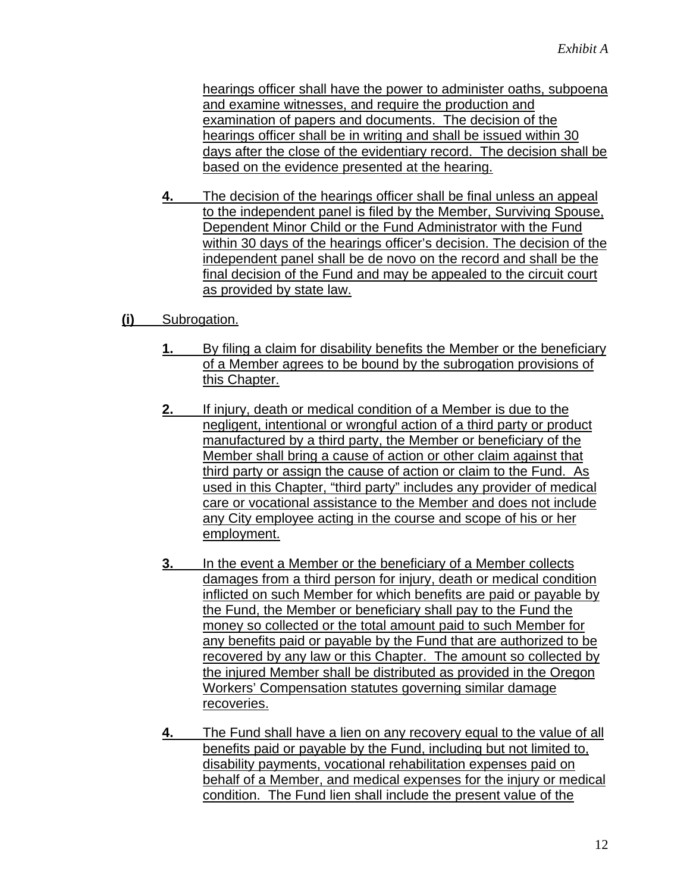hearings officer shall have the power to administer oaths, subpoena and examine witnesses, and require the production and examination of papers and documents. The decision of the hearings officer shall be in writing and shall be issued within 30 days after the close of the evidentiary record. The decision shall be based on the evidence presented at the hearing.

- **4.** The decision of the hearings officer shall be final unless an appeal to the independent panel is filed by the Member, Surviving Spouse, Dependent Minor Child or the Fund Administrator with the Fund within 30 days of the hearings officer's decision. The decision of the independent panel shall be de novo on the record and shall be the final decision of the Fund and may be appealed to the circuit court as provided by state law.
- **(i)** Subrogation.
	- **1.** By filing a claim for disability benefits the Member or the beneficiary of a Member agrees to be bound by the subrogation provisions of this Chapter.
	- **2.** If injury, death or medical condition of a Member is due to the negligent, intentional or wrongful action of a third party or product manufactured by a third party, the Member or beneficiary of the Member shall bring a cause of action or other claim against that third party or assign the cause of action or claim to the Fund. As used in this Chapter, "third party" includes any provider of medical care or vocational assistance to the Member and does not include any City employee acting in the course and scope of his or her employment.
	- **3.** In the event a Member or the beneficiary of a Member collects damages from a third person for injury, death or medical condition inflicted on such Member for which benefits are paid or payable by the Fund, the Member or beneficiary shall pay to the Fund the money so collected or the total amount paid to such Member for any benefits paid or payable by the Fund that are authorized to be recovered by any law or this Chapter. The amount so collected by the injured Member shall be distributed as provided in the Oregon Workers' Compensation statutes governing similar damage recoveries.
	- **4.** The Fund shall have a lien on any recovery equal to the value of all benefits paid or payable by the Fund, including but not limited to, disability payments, vocational rehabilitation expenses paid on behalf of a Member, and medical expenses for the injury or medical condition. The Fund lien shall include the present value of the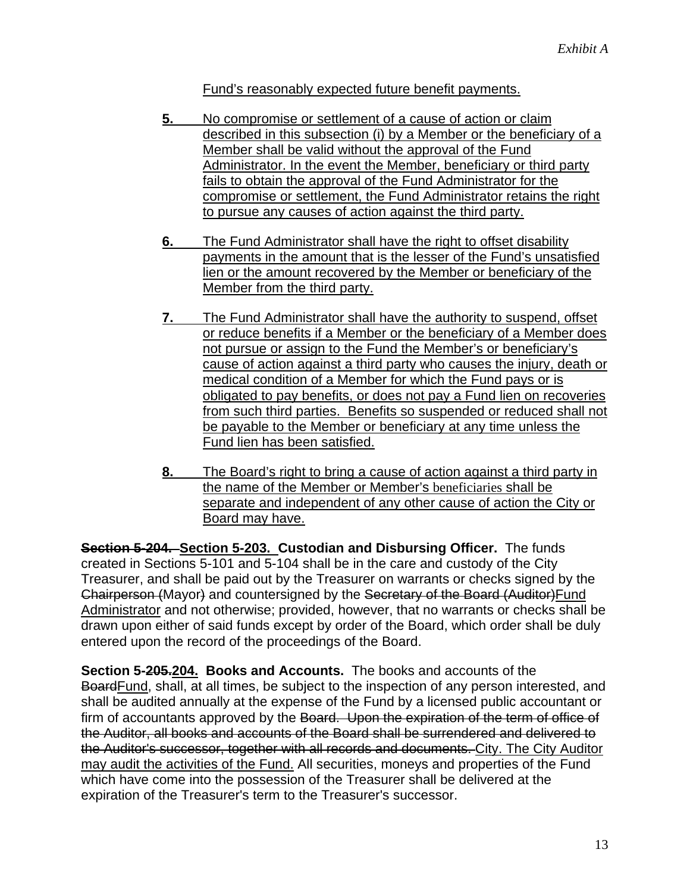Fund's reasonably expected future benefit payments.

- **5.** No compromise or settlement of a cause of action or claim described in this subsection (i) by a Member or the beneficiary of a Member shall be valid without the approval of the Fund Administrator. In the event the Member, beneficiary or third party fails to obtain the approval of the Fund Administrator for the compromise or settlement, the Fund Administrator retains the right to pursue any causes of action against the third party.
- **6.** The Fund Administrator shall have the right to offset disability payments in the amount that is the lesser of the Fund's unsatisfied lien or the amount recovered by the Member or beneficiary of the Member from the third party.
- **7.** The Fund Administrator shall have the authority to suspend, offset or reduce benefits if a Member or the beneficiary of a Member does not pursue or assign to the Fund the Member's or beneficiary's cause of action against a third party who causes the injury, death or medical condition of a Member for which the Fund pays or is obligated to pay benefits, or does not pay a Fund lien on recoveries from such third parties. Benefits so suspended or reduced shall not be payable to the Member or beneficiary at any time unless the Fund lien has been satisfied.
- **8.** The Board's right to bring a cause of action against a third party in the name of the Member or Member's beneficiaries shall be separate and independent of any other cause of action the City or Board may have.

**Section 5-204. Section 5-203. Custodian and Disbursing Officer.** The funds created in Sections 5-101 and 5-104 shall be in the care and custody of the City Treasurer, and shall be paid out by the Treasurer on warrants or checks signed by the Chairperson (Mayor) and countersigned by the Secretary of the Board (Auditor)Fund Administrator and not otherwise; provided, however, that no warrants or checks shall be drawn upon either of said funds except by order of the Board, which order shall be duly entered upon the record of the proceedings of the Board.

**Section 5-205.204. Books and Accounts.** The books and accounts of the BoardFund, shall, at all times, be subject to the inspection of any person interested, and shall be audited annually at the expense of the Fund by a licensed public accountant or firm of accountants approved by the Board. Upon the expiration of the term of office of the Auditor, all books and accounts of the Board shall be surrendered and delivered to the Auditor's successor, together with all records and documents. City. The City Auditor may audit the activities of the Fund. All securities, moneys and properties of the Fund which have come into the possession of the Treasurer shall be delivered at the expiration of the Treasurer's term to the Treasurer's successor.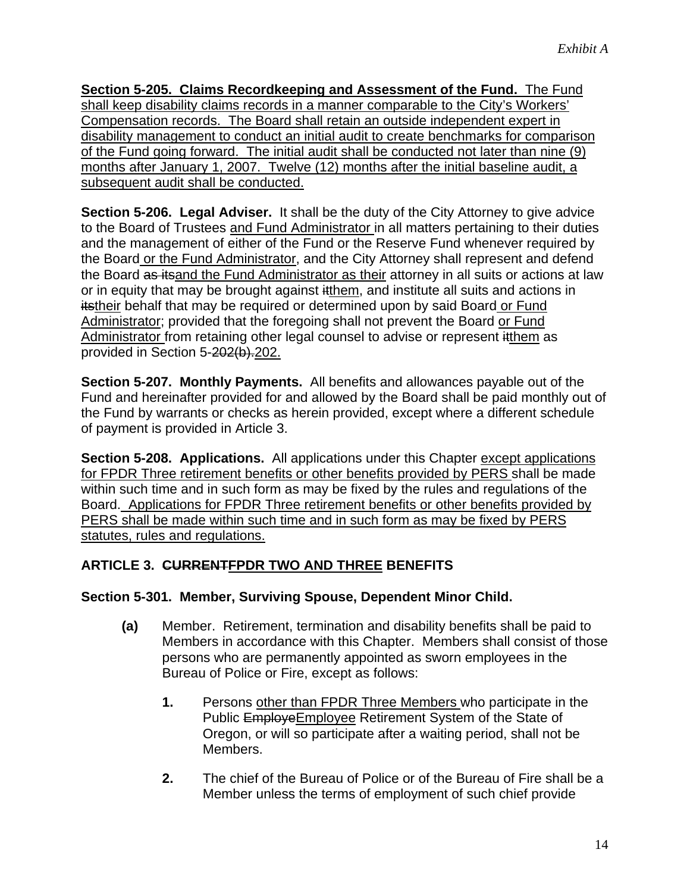**Section 5-205. Claims Recordkeeping and Assessment of the Fund.** The Fund shall keep disability claims records in a manner comparable to the City's Workers' Compensation records. The Board shall retain an outside independent expert in disability management to conduct an initial audit to create benchmarks for comparison of the Fund going forward. The initial audit shall be conducted not later than nine (9) months after January 1, 2007. Twelve (12) months after the initial baseline audit, a subsequent audit shall be conducted.

**Section 5-206. Legal Adviser.** It shall be the duty of the City Attorney to give advice to the Board of Trustees and Fund Administrator in all matters pertaining to their duties and the management of either of the Fund or the Reserve Fund whenever required by the Board or the Fund Administrator, and the City Attorney shall represent and defend the Board as itsand the Fund Administrator as their attorney in all suits or actions at law or in equity that may be brought against itthem, and institute all suits and actions in itstheir behalf that may be required or determined upon by said Board or Fund Administrator; provided that the foregoing shall not prevent the Board or Fund Administrator from retaining other legal counsel to advise or represent itthem as provided in Section 5-202(b).202.

**Section 5-207. Monthly Payments.** All benefits and allowances payable out of the Fund and hereinafter provided for and allowed by the Board shall be paid monthly out of the Fund by warrants or checks as herein provided, except where a different schedule of payment is provided in Article 3.

**Section 5-208. Applications.** All applications under this Chapter except applications for FPDR Three retirement benefits or other benefits provided by PERS shall be made within such time and in such form as may be fixed by the rules and regulations of the Board. Applications for FPDR Three retirement benefits or other benefits provided by PERS shall be made within such time and in such form as may be fixed by PERS statutes, rules and regulations.

# **ARTICLE 3. CURRENTFPDR TWO AND THREE BENEFITS**

### **Section 5-301. Member, Surviving Spouse, Dependent Minor Child.**

- **(a)** Member. Retirement, termination and disability benefits shall be paid to Members in accordance with this Chapter. Members shall consist of those persons who are permanently appointed as sworn employees in the Bureau of Police or Fire, except as follows:
	- **1.** Persons other than FPDR Three Members who participate in the Public EmployeEmployee Retirement System of the State of Oregon, or will so participate after a waiting period, shall not be Members.
	- **2.** The chief of the Bureau of Police or of the Bureau of Fire shall be a Member unless the terms of employment of such chief provide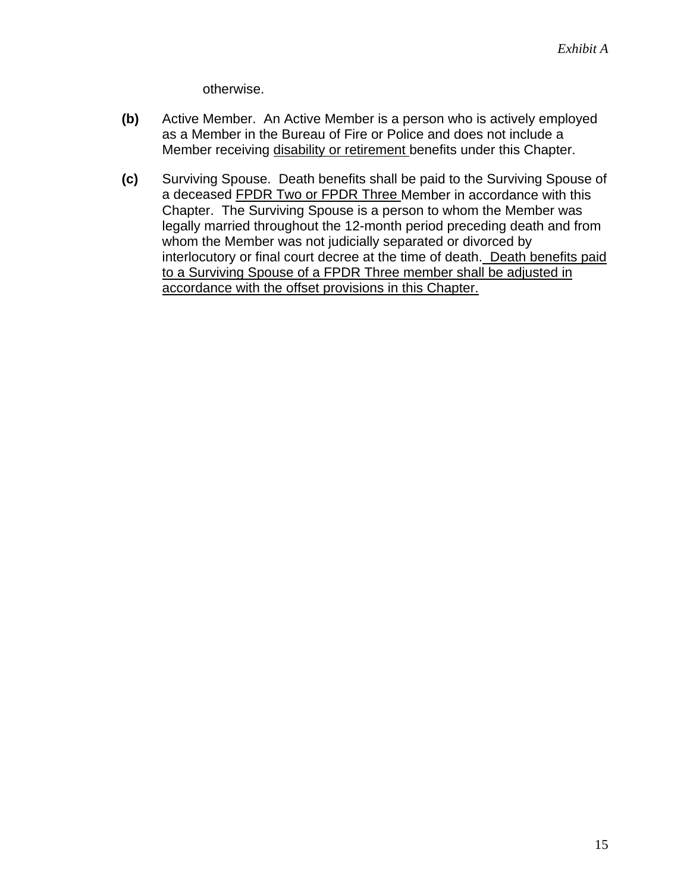otherwise.

- **(b)** Active Member. An Active Member is a person who is actively employed as a Member in the Bureau of Fire or Police and does not include a Member receiving disability or retirement benefits under this Chapter.
- **(c)** Surviving Spouse. Death benefits shall be paid to the Surviving Spouse of a deceased FPDR Two or FPDR Three Member in accordance with this Chapter. The Surviving Spouse is a person to whom the Member was legally married throughout the 12-month period preceding death and from whom the Member was not judicially separated or divorced by interlocutory or final court decree at the time of death. Death benefits paid to a Surviving Spouse of a FPDR Three member shall be adjusted in accordance with the offset provisions in this Chapter.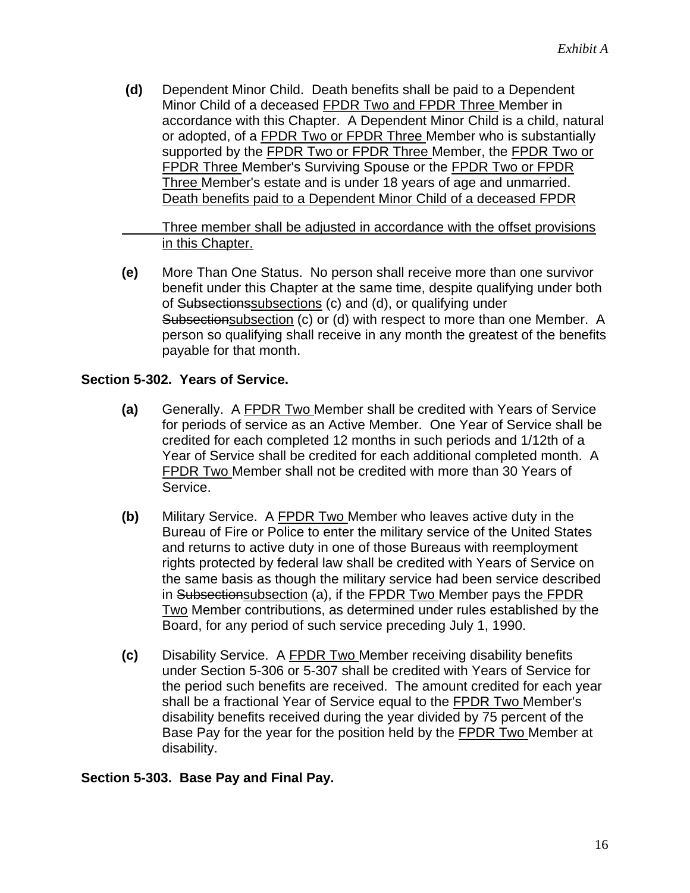**(d)** Dependent Minor Child. Death benefits shall be paid to a Dependent Minor Child of a deceased FPDR Two and FPDR Three Member in accordance with this Chapter. A Dependent Minor Child is a child, natural or adopted, of a FPDR Two or FPDR Three Member who is substantially supported by the FPDR Two or FPDR Three Member, the FPDR Two or FPDR Three Member's Surviving Spouse or the FPDR Two or FPDR Three Member's estate and is under 18 years of age and unmarried. Death benefits paid to a Dependent Minor Child of a deceased FPDR

Three member shall be adjusted in accordance with the offset provisions in this Chapter.

**(e)** More Than One Status. No person shall receive more than one survivor benefit under this Chapter at the same time, despite qualifying under both of Subsectionssubsections (c) and (d), or qualifying under Subsectionsubsection (c) or (d) with respect to more than one Member. A person so qualifying shall receive in any month the greatest of the benefits payable for that month.

### **Section 5-302. Years of Service.**

- **(a)** Generally. A FPDR Two Member shall be credited with Years of Service for periods of service as an Active Member. One Year of Service shall be credited for each completed 12 months in such periods and 1/12th of a Year of Service shall be credited for each additional completed month. A FPDR Two Member shall not be credited with more than 30 Years of Service.
- **(b)** Military Service. A FPDR Two Member who leaves active duty in the Bureau of Fire or Police to enter the military service of the United States and returns to active duty in one of those Bureaus with reemployment rights protected by federal law shall be credited with Years of Service on the same basis as though the military service had been service described in Subsectionsubsection (a), if the FPDR Two Member pays the FPDR Two Member contributions, as determined under rules established by the Board, for any period of such service preceding July 1, 1990.
- **(c)** Disability Service. A FPDR Two Member receiving disability benefits under Section 5-306 or 5-307 shall be credited with Years of Service for the period such benefits are received. The amount credited for each year shall be a fractional Year of Service equal to the FPDR Two Member's disability benefits received during the year divided by 75 percent of the Base Pay for the year for the position held by the FPDR Two Member at disability.

#### **Section 5-303. Base Pay and Final Pay.**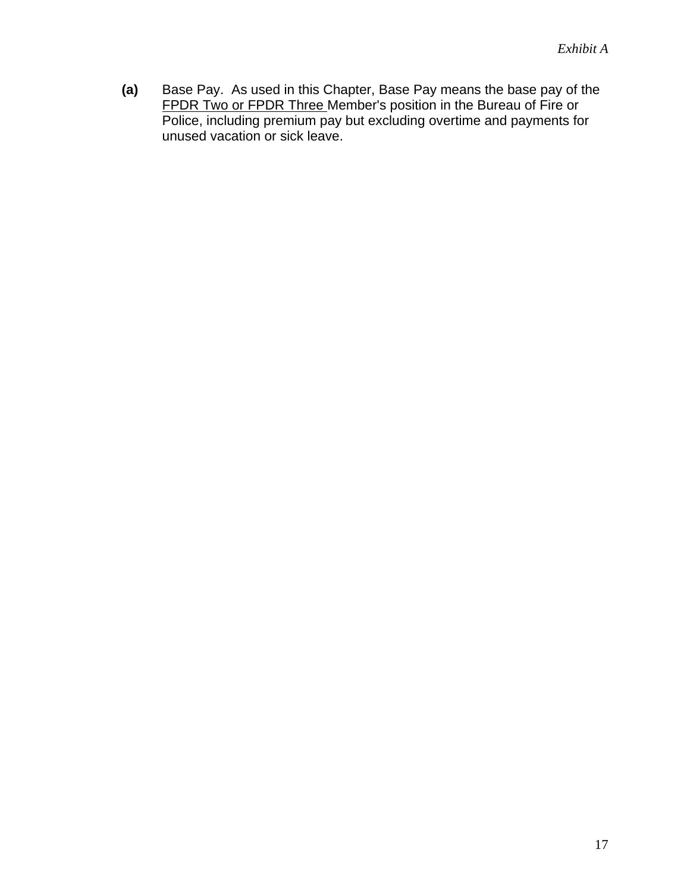**(a)** Base Pay. As used in this Chapter, Base Pay means the base pay of the FPDR Two or FPDR Three Member's position in the Bureau of Fire or Police, including premium pay but excluding overtime and payments for unused vacation or sick leave.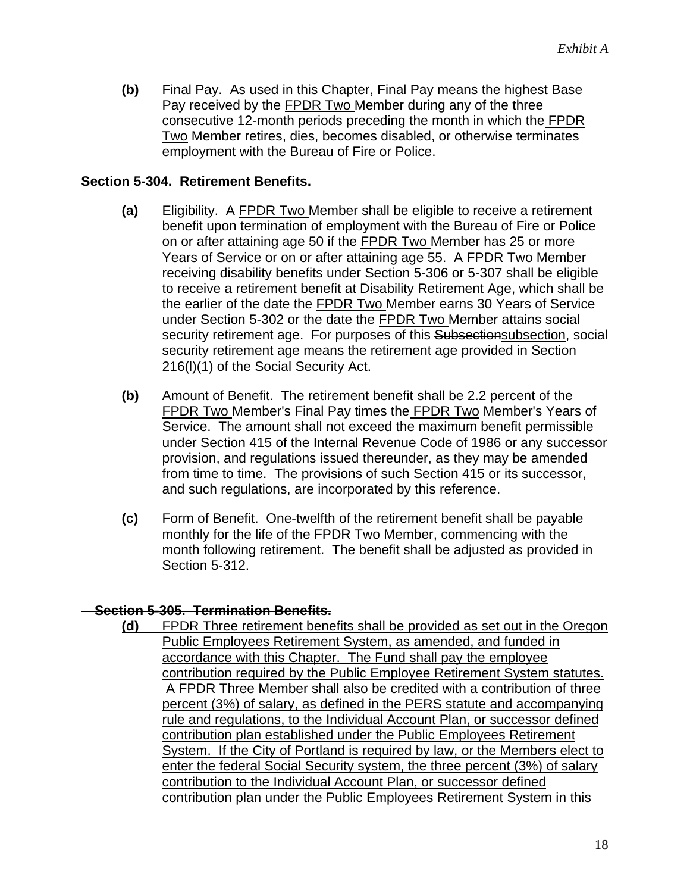**(b)** Final Pay. As used in this Chapter, Final Pay means the highest Base Pay received by the FPDR Two Member during any of the three consecutive 12-month periods preceding the month in which the FPDR Two Member retires, dies, becomes disabled, or otherwise terminates employment with the Bureau of Fire or Police.

#### **Section 5-304. Retirement Benefits.**

- **(a)** Eligibility. A FPDR Two Member shall be eligible to receive a retirement benefit upon termination of employment with the Bureau of Fire or Police on or after attaining age 50 if the FPDR Two Member has 25 or more Years of Service or on or after attaining age 55. A FPDR Two Member receiving disability benefits under Section 5-306 or 5-307 shall be eligible to receive a retirement benefit at Disability Retirement Age, which shall be the earlier of the date the **FPDR Two** Member earns 30 Years of Service under Section 5-302 or the date the **FPDR Two Member attains social** security retirement age. For purposes of this Subsectionsubsection, social security retirement age means the retirement age provided in Section 216(l)(1) of the Social Security Act.
- **(b)** Amount of Benefit. The retirement benefit shall be 2.2 percent of the FPDR Two Member's Final Pay times the FPDR Two Member's Years of Service. The amount shall not exceed the maximum benefit permissible under Section 415 of the Internal Revenue Code of 1986 or any successor provision, and regulations issued thereunder, as they may be amended from time to time. The provisions of such Section 415 or its successor, and such regulations, are incorporated by this reference.
- **(c)** Form of Benefit. One-twelfth of the retirement benefit shall be payable monthly for the life of the FPDR Two Member, commencing with the month following retirement. The benefit shall be adjusted as provided in Section 5-312.

#### **Section 5-305. Termination Benefits.**

**(d)** FPDR Three retirement benefits shall be provided as set out in the Oregon Public Employees Retirement System, as amended, and funded in accordance with this Chapter. The Fund shall pay the employee contribution required by the Public Employee Retirement System statutes. A FPDR Three Member shall also be credited with a contribution of three percent (3%) of salary, as defined in the PERS statute and accompanying rule and regulations, to the Individual Account Plan, or successor defined contribution plan established under the Public Employees Retirement System. If the City of Portland is required by law, or the Members elect to enter the federal Social Security system, the three percent (3%) of salary contribution to the Individual Account Plan, or successor defined contribution plan under the Public Employees Retirement System in this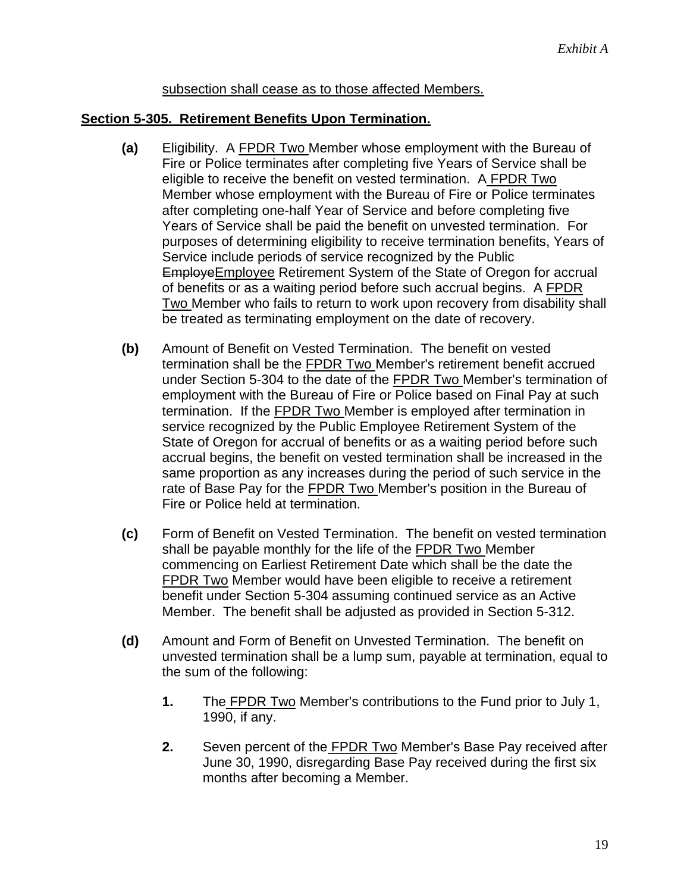#### subsection shall cease as to those affected Members.

#### **Section 5-305. Retirement Benefits Upon Termination.**

- **(a)** Eligibility. A FPDR Two Member whose employment with the Bureau of Fire or Police terminates after completing five Years of Service shall be eligible to receive the benefit on vested termination. A FPDR Two Member whose employment with the Bureau of Fire or Police terminates after completing one-half Year of Service and before completing five Years of Service shall be paid the benefit on unvested termination. For purposes of determining eligibility to receive termination benefits, Years of Service include periods of service recognized by the Public EmployeEmployee Retirement System of the State of Oregon for accrual of benefits or as a waiting period before such accrual begins. A FPDR Two Member who fails to return to work upon recovery from disability shall be treated as terminating employment on the date of recovery.
- **(b)** Amount of Benefit on Vested Termination. The benefit on vested termination shall be the FPDR Two Member's retirement benefit accrued under Section 5-304 to the date of the FPDR Two Member's termination of employment with the Bureau of Fire or Police based on Final Pay at such termination. If the FPDR Two Member is employed after termination in service recognized by the Public Employee Retirement System of the State of Oregon for accrual of benefits or as a waiting period before such accrual begins, the benefit on vested termination shall be increased in the same proportion as any increases during the period of such service in the rate of Base Pay for the FPDR Two Member's position in the Bureau of Fire or Police held at termination.
- **(c)** Form of Benefit on Vested Termination. The benefit on vested termination shall be payable monthly for the life of the FPDR Two Member commencing on Earliest Retirement Date which shall be the date the FPDR Two Member would have been eligible to receive a retirement benefit under Section 5-304 assuming continued service as an Active Member. The benefit shall be adjusted as provided in Section 5-312.
- **(d)** Amount and Form of Benefit on Unvested Termination. The benefit on unvested termination shall be a lump sum, payable at termination, equal to the sum of the following:
	- **1.** The FPDR Two Member's contributions to the Fund prior to July 1, 1990, if any.
	- **2.** Seven percent of the FPDR Two Member's Base Pay received after June 30, 1990, disregarding Base Pay received during the first six months after becoming a Member.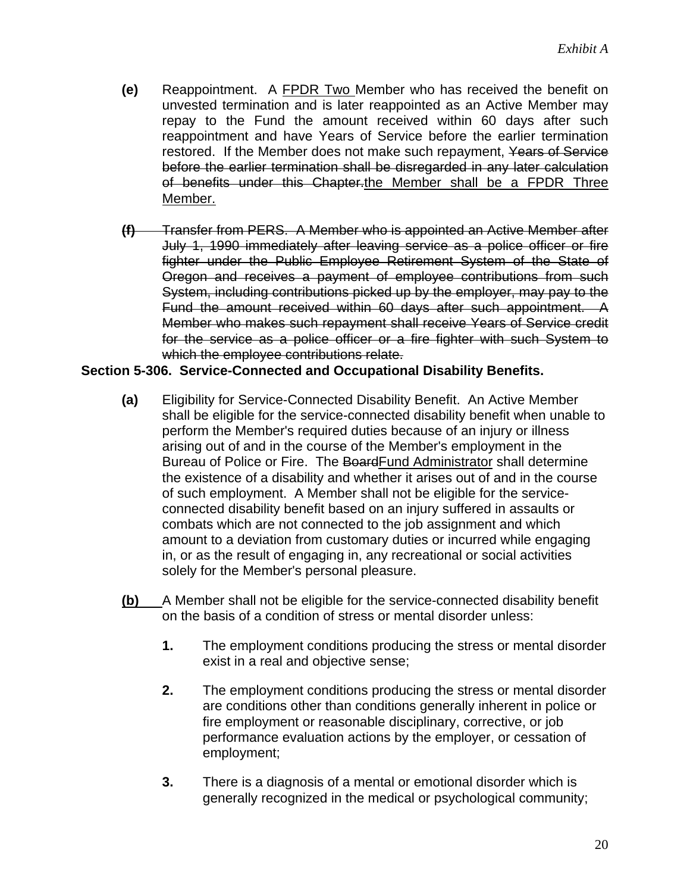- **(e)** Reappointment. A FPDR Two Member who has received the benefit on unvested termination and is later reappointed as an Active Member may repay to the Fund the amount received within 60 days after such reappointment and have Years of Service before the earlier termination restored. If the Member does not make such repayment, Years of Service before the earlier termination shall be disregarded in any later calculation of benefits under this Chapter.the Member shall be a FPDR Three Member.
- **(f)** Transfer from PERS. A Member who is appointed an Active Member after July 1, 1990 immediately after leaving service as a police officer or fire fighter under the Public Employee Retirement System of the State of Oregon and receives a payment of employee contributions from such System, including contributions picked up by the employer, may pay to the Fund the amount received within 60 days after such appointment. A Member who makes such repayment shall receive Years of Service credit for the service as a police officer or a fire fighter with such System to which the employee contributions relate.

#### **Section 5-306. Service-Connected and Occupational Disability Benefits.**

- **(a)** Eligibility for Service-Connected Disability Benefit. An Active Member shall be eligible for the service-connected disability benefit when unable to perform the Member's required duties because of an injury or illness arising out of and in the course of the Member's employment in the Bureau of Police or Fire. The BoardFund Administrator shall determine the existence of a disability and whether it arises out of and in the course of such employment. A Member shall not be eligible for the serviceconnected disability benefit based on an injury suffered in assaults or combats which are not connected to the job assignment and which amount to a deviation from customary duties or incurred while engaging in, or as the result of engaging in, any recreational or social activities solely for the Member's personal pleasure.
- **(b)** A Member shall not be eligible for the service-connected disability benefit on the basis of a condition of stress or mental disorder unless:
	- **1.** The employment conditions producing the stress or mental disorder exist in a real and objective sense;
	- **2.** The employment conditions producing the stress or mental disorder are conditions other than conditions generally inherent in police or fire employment or reasonable disciplinary, corrective, or job performance evaluation actions by the employer, or cessation of employment;
	- **3.** There is a diagnosis of a mental or emotional disorder which is generally recognized in the medical or psychological community;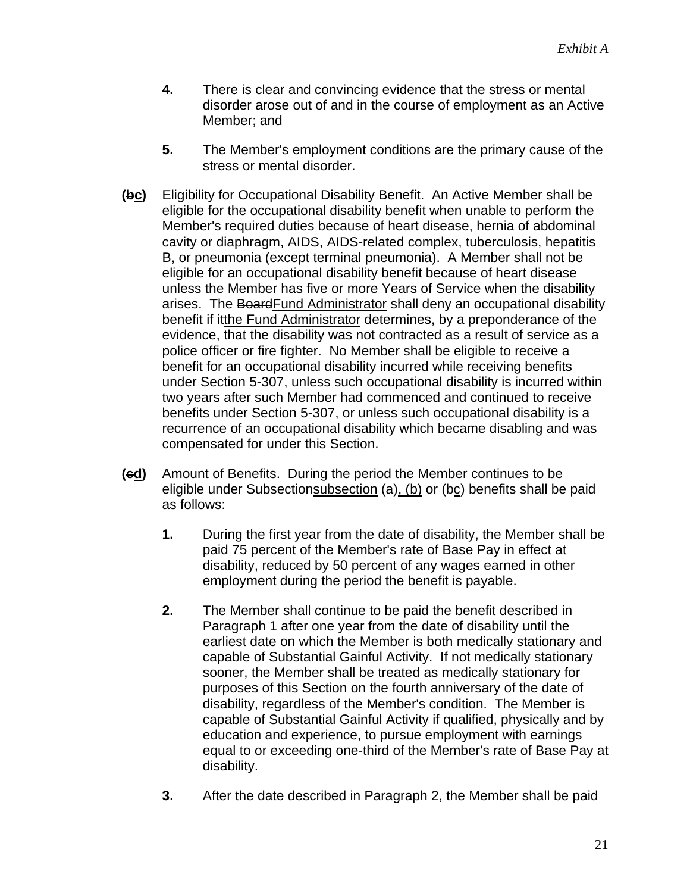- **4.** There is clear and convincing evidence that the stress or mental disorder arose out of and in the course of employment as an Active Member; and
- **5.** The Member's employment conditions are the primary cause of the stress or mental disorder.
- **(bc)** Eligibility for Occupational Disability Benefit. An Active Member shall be eligible for the occupational disability benefit when unable to perform the Member's required duties because of heart disease, hernia of abdominal cavity or diaphragm, AIDS, AIDS-related complex, tuberculosis, hepatitis B, or pneumonia (except terminal pneumonia). A Member shall not be eligible for an occupational disability benefit because of heart disease unless the Member has five or more Years of Service when the disability arises. The BoardFund Administrator shall deny an occupational disability benefit if itthe Fund Administrator determines, by a preponderance of the evidence, that the disability was not contracted as a result of service as a police officer or fire fighter. No Member shall be eligible to receive a benefit for an occupational disability incurred while receiving benefits under Section 5-307, unless such occupational disability is incurred within two years after such Member had commenced and continued to receive benefits under Section 5-307, or unless such occupational disability is a recurrence of an occupational disability which became disabling and was compensated for under this Section.
- **(cd)** Amount of Benefits. During the period the Member continues to be eligible under Subsectionsubsection (a), (b) or ( $\overline{bc}$ ) benefits shall be paid as follows:
	- **1.** During the first year from the date of disability, the Member shall be paid 75 percent of the Member's rate of Base Pay in effect at disability, reduced by 50 percent of any wages earned in other employment during the period the benefit is payable.
	- **2.** The Member shall continue to be paid the benefit described in Paragraph 1 after one year from the date of disability until the earliest date on which the Member is both medically stationary and capable of Substantial Gainful Activity. If not medically stationary sooner, the Member shall be treated as medically stationary for purposes of this Section on the fourth anniversary of the date of disability, regardless of the Member's condition. The Member is capable of Substantial Gainful Activity if qualified, physically and by education and experience, to pursue employment with earnings equal to or exceeding one-third of the Member's rate of Base Pay at disability.
	- **3.** After the date described in Paragraph 2, the Member shall be paid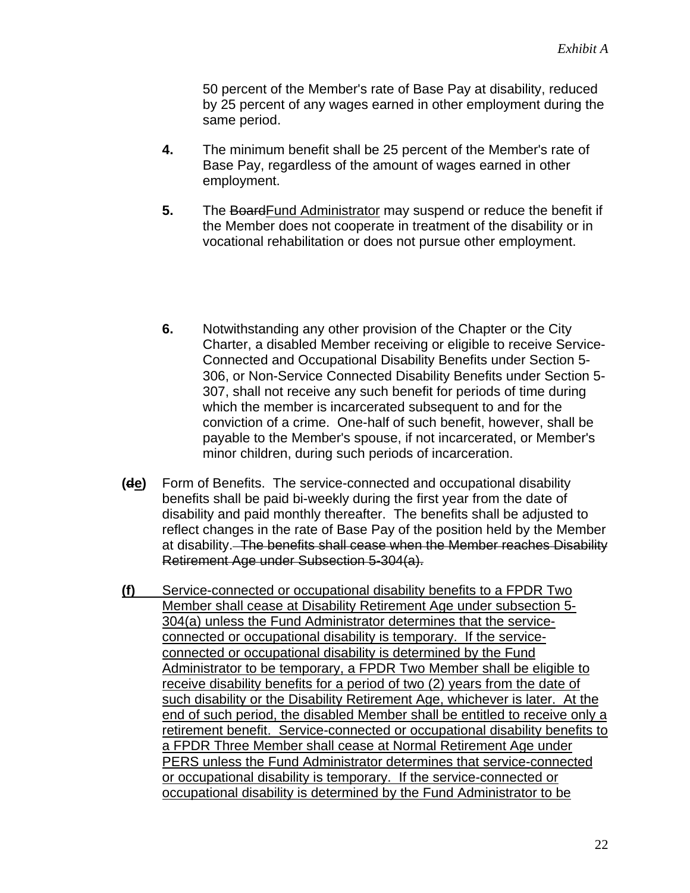50 percent of the Member's rate of Base Pay at disability, reduced by 25 percent of any wages earned in other employment during the same period.

- **4.** The minimum benefit shall be 25 percent of the Member's rate of Base Pay, regardless of the amount of wages earned in other employment.
- **5.** The BoardFund Administrator may suspend or reduce the benefit if the Member does not cooperate in treatment of the disability or in vocational rehabilitation or does not pursue other employment.
- **6.** Notwithstanding any other provision of the Chapter or the City Charter, a disabled Member receiving or eligible to receive Service-Connected and Occupational Disability Benefits under Section 5- 306, or Non-Service Connected Disability Benefits under Section 5- 307, shall not receive any such benefit for periods of time during which the member is incarcerated subsequent to and for the conviction of a crime. One-half of such benefit, however, shall be payable to the Member's spouse, if not incarcerated, or Member's minor children, during such periods of incarceration.
- **(de)** Form of Benefits. The service-connected and occupational disability benefits shall be paid bi-weekly during the first year from the date of disability and paid monthly thereafter. The benefits shall be adjusted to reflect changes in the rate of Base Pay of the position held by the Member at disability. The benefits shall cease when the Member reaches Disability Retirement Age under Subsection 5-304(a).
- **(f)** Service-connected or occupational disability benefits to a FPDR Two Member shall cease at Disability Retirement Age under subsection 5- 304(a) unless the Fund Administrator determines that the serviceconnected or occupational disability is temporary. If the serviceconnected or occupational disability is determined by the Fund Administrator to be temporary, a FPDR Two Member shall be eligible to receive disability benefits for a period of two (2) years from the date of such disability or the Disability Retirement Age, whichever is later. At the end of such period, the disabled Member shall be entitled to receive only a retirement benefit. Service-connected or occupational disability benefits to a FPDR Three Member shall cease at Normal Retirement Age under PERS unless the Fund Administrator determines that service-connected or occupational disability is temporary. If the service-connected or occupational disability is determined by the Fund Administrator to be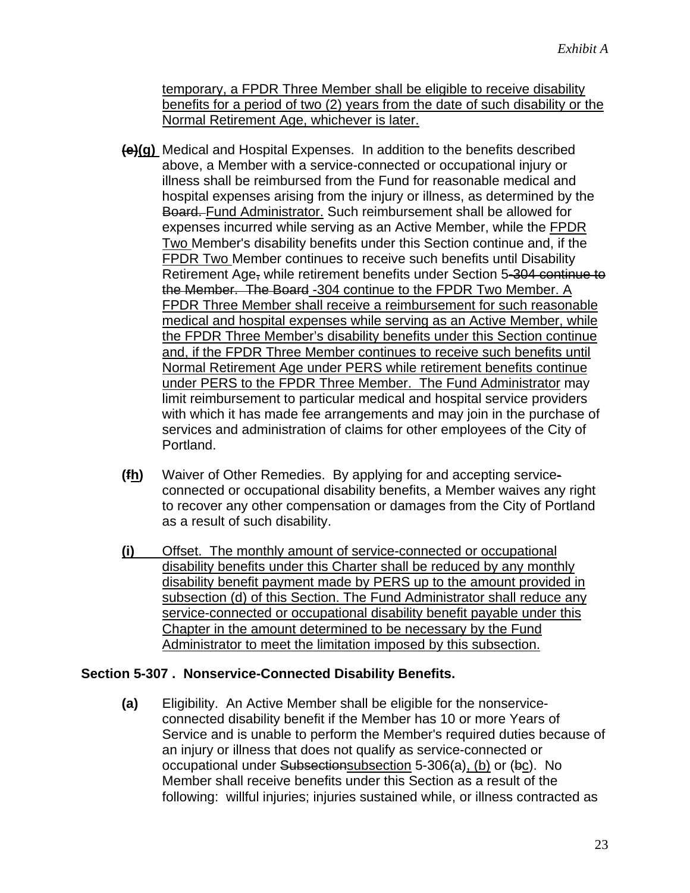temporary, a FPDR Three Member shall be eligible to receive disability benefits for a period of two (2) years from the date of such disability or the Normal Retirement Age, whichever is later.

- **(e)(g)** Medical and Hospital Expenses. In addition to the benefits described above, a Member with a service-connected or occupational injury or illness shall be reimbursed from the Fund for reasonable medical and hospital expenses arising from the injury or illness, as determined by the Board. Fund Administrator. Such reimbursement shall be allowed for expenses incurred while serving as an Active Member, while the FPDR Two Member's disability benefits under this Section continue and, if the FPDR Two Member continues to receive such benefits until Disability Retirement Age, while retirement benefits under Section 5-304 continue to the Member. The Board -304 continue to the FPDR Two Member. A FPDR Three Member shall receive a reimbursement for such reasonable medical and hospital expenses while serving as an Active Member, while the FPDR Three Member's disability benefits under this Section continue and, if the FPDR Three Member continues to receive such benefits until Normal Retirement Age under PERS while retirement benefits continue under PERS to the FPDR Three Member. The Fund Administrator may limit reimbursement to particular medical and hospital service providers with which it has made fee arrangements and may join in the purchase of services and administration of claims for other employees of the City of Portland.
- **(fh)** Waiver of Other Remedies. By applying for and accepting serviceconnected or occupational disability benefits, a Member waives any right to recover any other compensation or damages from the City of Portland as a result of such disability.
- **(i)** Offset. The monthly amount of service-connected or occupational disability benefits under this Charter shall be reduced by any monthly disability benefit payment made by PERS up to the amount provided in subsection (d) of this Section. The Fund Administrator shall reduce any service-connected or occupational disability benefit payable under this Chapter in the amount determined to be necessary by the Fund Administrator to meet the limitation imposed by this subsection.

#### **Section 5-307 . Nonservice-Connected Disability Benefits.**

**(a)** Eligibility. An Active Member shall be eligible for the nonserviceconnected disability benefit if the Member has 10 or more Years of Service and is unable to perform the Member's required duties because of an injury or illness that does not qualify as service-connected or occupational under Subsectionsubsection 5-306(a), (b) or (bc). No Member shall receive benefits under this Section as a result of the following: willful injuries; injuries sustained while, or illness contracted as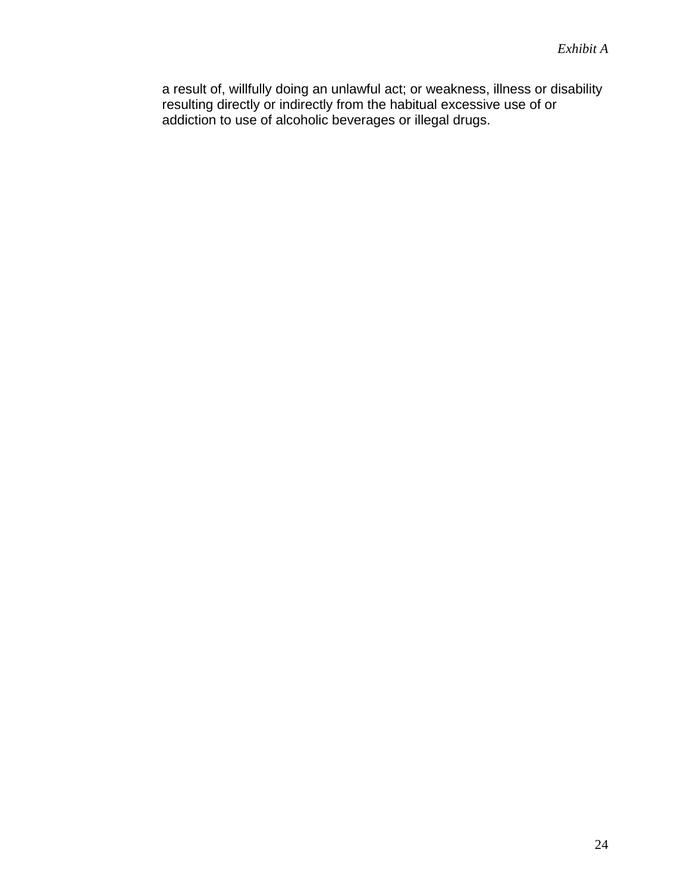a result of, willfully doing an unlawful act; or weakness, illness or disability resulting directly or indirectly from the habitual excessive use of or addiction to use of alcoholic beverages or illegal drugs.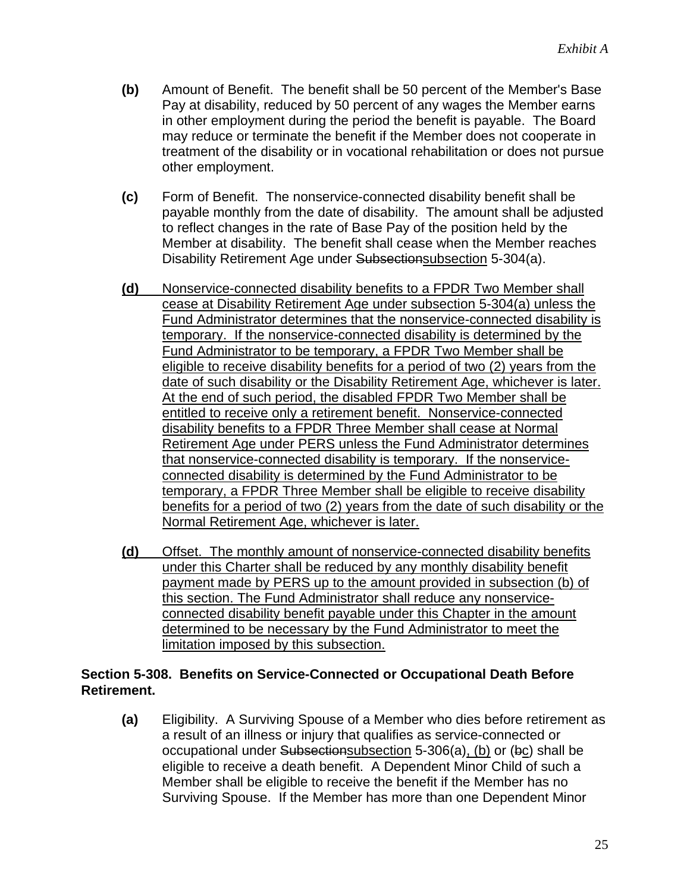- **(b)** Amount of Benefit. The benefit shall be 50 percent of the Member's Base Pay at disability, reduced by 50 percent of any wages the Member earns in other employment during the period the benefit is payable. The Board may reduce or terminate the benefit if the Member does not cooperate in treatment of the disability or in vocational rehabilitation or does not pursue other employment.
- **(c)** Form of Benefit. The nonservice-connected disability benefit shall be payable monthly from the date of disability. The amount shall be adjusted to reflect changes in the rate of Base Pay of the position held by the Member at disability. The benefit shall cease when the Member reaches Disability Retirement Age under Subsectionsubsection 5-304(a).
- **(d)** Nonservice-connected disability benefits to a FPDR Two Member shall cease at Disability Retirement Age under subsection 5-304(a) unless the Fund Administrator determines that the nonservice-connected disability is temporary. If the nonservice-connected disability is determined by the Fund Administrator to be temporary, a FPDR Two Member shall be eligible to receive disability benefits for a period of two (2) years from the date of such disability or the Disability Retirement Age, whichever is later. At the end of such period, the disabled FPDR Two Member shall be entitled to receive only a retirement benefit. Nonservice-connected disability benefits to a FPDR Three Member shall cease at Normal Retirement Age under PERS unless the Fund Administrator determines that nonservice-connected disability is temporary. If the nonserviceconnected disability is determined by the Fund Administrator to be temporary, a FPDR Three Member shall be eligible to receive disability benefits for a period of two (2) years from the date of such disability or the Normal Retirement Age, whichever is later.
- **(d)** Offset. The monthly amount of nonservice-connected disability benefits under this Charter shall be reduced by any monthly disability benefit payment made by PERS up to the amount provided in subsection (b) of this section. The Fund Administrator shall reduce any nonserviceconnected disability benefit payable under this Chapter in the amount determined to be necessary by the Fund Administrator to meet the limitation imposed by this subsection.

### **Section 5-308. Benefits on Service-Connected or Occupational Death Before Retirement.**

**(a)** Eligibility. A Surviving Spouse of a Member who dies before retirement as a result of an illness or injury that qualifies as service-connected or occupational under Subsectionsubsection 5-306(a), (b) or (bc) shall be eligible to receive a death benefit. A Dependent Minor Child of such a Member shall be eligible to receive the benefit if the Member has no Surviving Spouse. If the Member has more than one Dependent Minor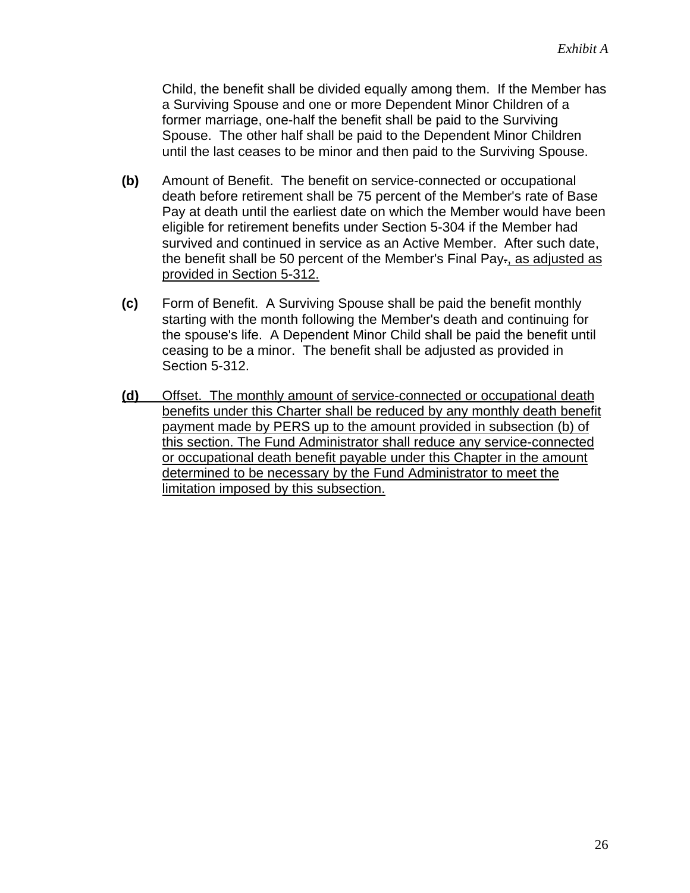Child, the benefit shall be divided equally among them. If the Member has a Surviving Spouse and one or more Dependent Minor Children of a former marriage, one-half the benefit shall be paid to the Surviving Spouse. The other half shall be paid to the Dependent Minor Children until the last ceases to be minor and then paid to the Surviving Spouse.

- **(b)** Amount of Benefit. The benefit on service-connected or occupational death before retirement shall be 75 percent of the Member's rate of Base Pay at death until the earliest date on which the Member would have been eligible for retirement benefits under Section 5-304 if the Member had survived and continued in service as an Active Member. After such date, the benefit shall be 50 percent of the Member's Final Pay-, as adjusted as provided in Section 5-312.
- **(c)** Form of Benefit. A Surviving Spouse shall be paid the benefit monthly starting with the month following the Member's death and continuing for the spouse's life. A Dependent Minor Child shall be paid the benefit until ceasing to be a minor. The benefit shall be adjusted as provided in Section 5-312.
- **(d)** Offset. The monthly amount of service-connected or occupational death benefits under this Charter shall be reduced by any monthly death benefit payment made by PERS up to the amount provided in subsection (b) of this section. The Fund Administrator shall reduce any service-connected or occupational death benefit payable under this Chapter in the amount determined to be necessary by the Fund Administrator to meet the limitation imposed by this subsection.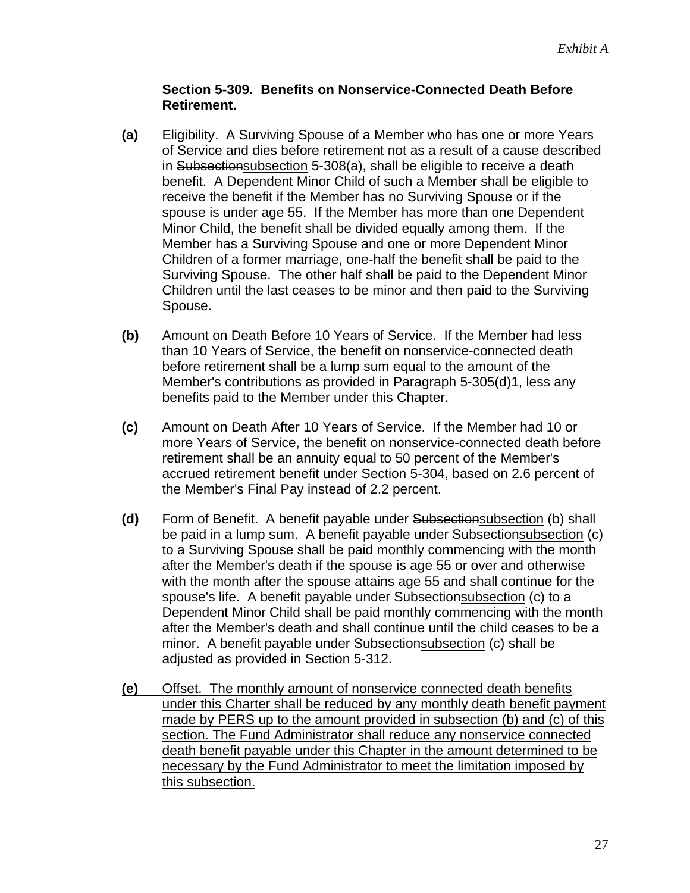### **Section 5-309. Benefits on Nonservice-Connected Death Before Retirement.**

- **(a)** Eligibility. A Surviving Spouse of a Member who has one or more Years of Service and dies before retirement not as a result of a cause described in Subsectionsubsection 5-308(a), shall be eligible to receive a death benefit. A Dependent Minor Child of such a Member shall be eligible to receive the benefit if the Member has no Surviving Spouse or if the spouse is under age 55. If the Member has more than one Dependent Minor Child, the benefit shall be divided equally among them. If the Member has a Surviving Spouse and one or more Dependent Minor Children of a former marriage, one-half the benefit shall be paid to the Surviving Spouse. The other half shall be paid to the Dependent Minor Children until the last ceases to be minor and then paid to the Surviving Spouse.
- **(b)** Amount on Death Before 10 Years of Service. If the Member had less than 10 Years of Service, the benefit on nonservice-connected death before retirement shall be a lump sum equal to the amount of the Member's contributions as provided in Paragraph 5-305(d)1, less any benefits paid to the Member under this Chapter.
- **(c)** Amount on Death After 10 Years of Service. If the Member had 10 or more Years of Service, the benefit on nonservice-connected death before retirement shall be an annuity equal to 50 percent of the Member's accrued retirement benefit under Section 5-304, based on 2.6 percent of the Member's Final Pay instead of 2.2 percent.
- **(d)** Form of Benefit. A benefit payable under Subsectionsubsection (b) shall be paid in a lump sum. A benefit payable under Subsectionsubsection (c) to a Surviving Spouse shall be paid monthly commencing with the month after the Member's death if the spouse is age 55 or over and otherwise with the month after the spouse attains age 55 and shall continue for the spouse's life. A benefit payable under Subsectionsubsection (c) to a Dependent Minor Child shall be paid monthly commencing with the month after the Member's death and shall continue until the child ceases to be a minor. A benefit payable under Subsectionsubsection (c) shall be adjusted as provided in Section 5-312.
- **(e)** Offset. The monthly amount of nonservice connected death benefits under this Charter shall be reduced by any monthly death benefit payment made by PERS up to the amount provided in subsection (b) and (c) of this section. The Fund Administrator shall reduce any nonservice connected death benefit payable under this Chapter in the amount determined to be necessary by the Fund Administrator to meet the limitation imposed by this subsection.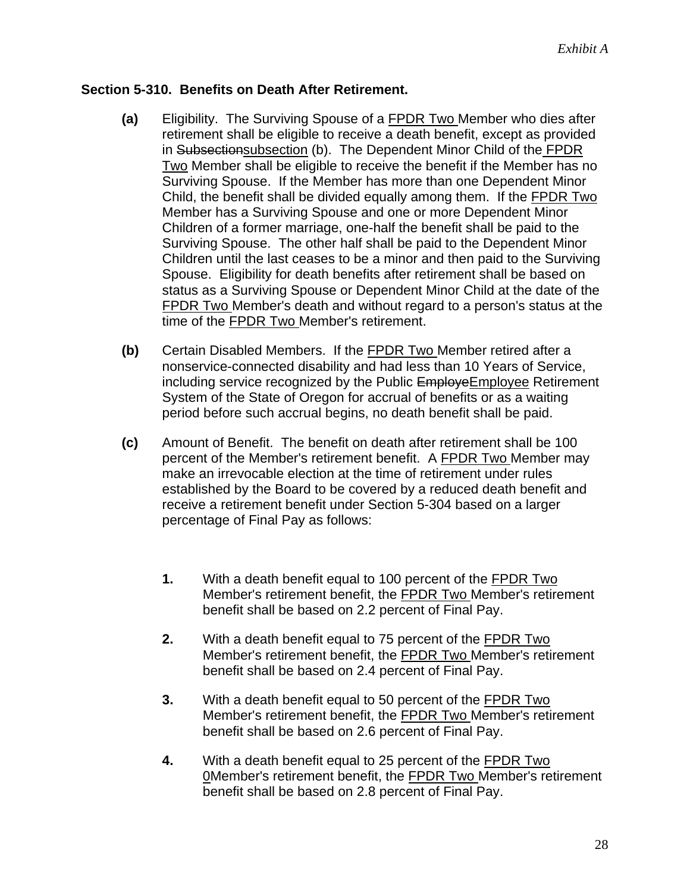#### **Section 5-310. Benefits on Death After Retirement.**

- **(a)** Eligibility. The Surviving Spouse of a FPDR Two Member who dies after retirement shall be eligible to receive a death benefit, except as provided in Subsectionsubsection (b). The Dependent Minor Child of the FPDR Two Member shall be eligible to receive the benefit if the Member has no Surviving Spouse. If the Member has more than one Dependent Minor Child, the benefit shall be divided equally among them. If the FPDR Two Member has a Surviving Spouse and one or more Dependent Minor Children of a former marriage, one-half the benefit shall be paid to the Surviving Spouse. The other half shall be paid to the Dependent Minor Children until the last ceases to be a minor and then paid to the Surviving Spouse. Eligibility for death benefits after retirement shall be based on status as a Surviving Spouse or Dependent Minor Child at the date of the FPDR Two Member's death and without regard to a person's status at the time of the FPDR Two Member's retirement.
- **(b)** Certain Disabled Members. If the FPDR Two Member retired after a nonservice-connected disability and had less than 10 Years of Service, including service recognized by the Public EmployeEmployee Retirement System of the State of Oregon for accrual of benefits or as a waiting period before such accrual begins, no death benefit shall be paid.
- **(c)** Amount of Benefit. The benefit on death after retirement shall be 100 percent of the Member's retirement benefit. A FPDR Two Member may make an irrevocable election at the time of retirement under rules established by the Board to be covered by a reduced death benefit and receive a retirement benefit under Section 5-304 based on a larger percentage of Final Pay as follows:
	- **1.** With a death benefit equal to 100 percent of the FPDR Two Member's retirement benefit, the FPDR Two Member's retirement benefit shall be based on 2.2 percent of Final Pay.
	- **2.** With a death benefit equal to 75 percent of the FPDR Two Member's retirement benefit, the FPDR Two Member's retirement benefit shall be based on 2.4 percent of Final Pay.
	- **3.** With a death benefit equal to 50 percent of the FPDR Two Member's retirement benefit, the FPDR Two Member's retirement benefit shall be based on 2.6 percent of Final Pay.
	- **4.** With a death benefit equal to 25 percent of the FPDR Two 0Member's retirement benefit, the FPDR Two Member's retirement benefit shall be based on 2.8 percent of Final Pay.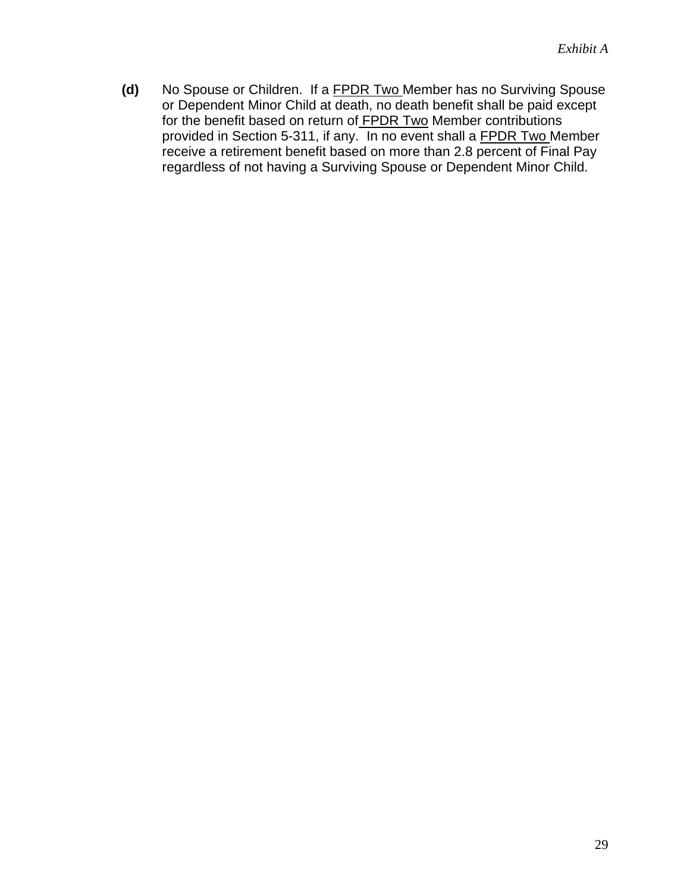**(d)** No Spouse or Children. If a FPDR Two Member has no Surviving Spouse or Dependent Minor Child at death, no death benefit shall be paid except for the benefit based on return of FPDR Two Member contributions provided in Section 5-311, if any. In no event shall a FPDR Two Member receive a retirement benefit based on more than 2.8 percent of Final Pay regardless of not having a Surviving Spouse or Dependent Minor Child.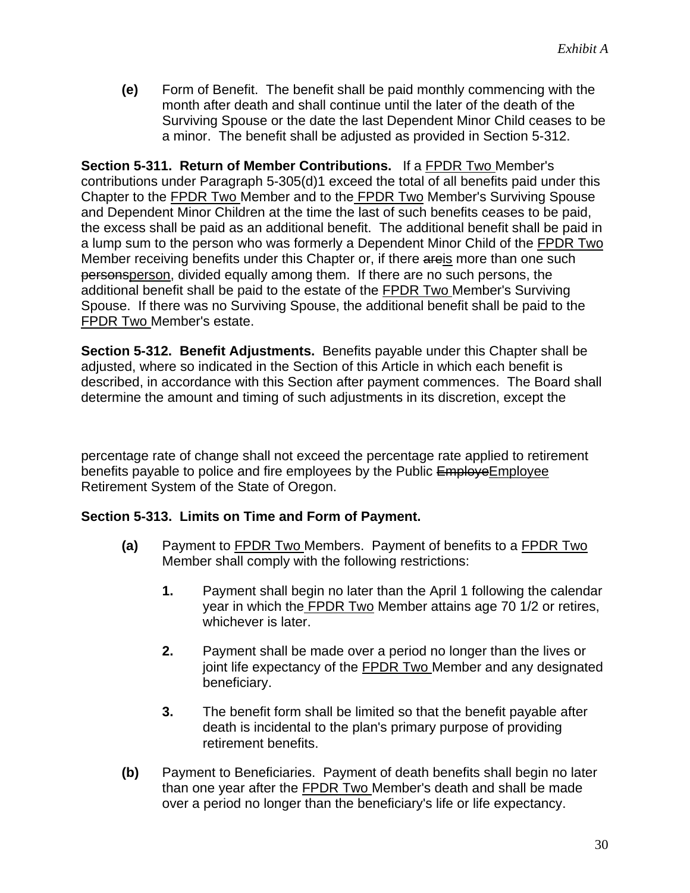**(e)** Form of Benefit. The benefit shall be paid monthly commencing with the month after death and shall continue until the later of the death of the Surviving Spouse or the date the last Dependent Minor Child ceases to be a minor. The benefit shall be adjusted as provided in Section 5-312.

**Section 5-311. Return of Member Contributions.** If a FPDR Two Member's contributions under Paragraph 5-305(d)1 exceed the total of all benefits paid under this Chapter to the FPDR Two Member and to the FPDR Two Member's Surviving Spouse and Dependent Minor Children at the time the last of such benefits ceases to be paid, the excess shall be paid as an additional benefit. The additional benefit shall be paid in a lump sum to the person who was formerly a Dependent Minor Child of the FPDR Two Member receiving benefits under this Chapter or, if there areis more than one such personsperson, divided equally among them. If there are no such persons, the additional benefit shall be paid to the estate of the FPDR Two Member's Surviving Spouse. If there was no Surviving Spouse, the additional benefit shall be paid to the FPDR Two Member's estate.

**Section 5-312. Benefit Adjustments.** Benefits payable under this Chapter shall be adjusted, where so indicated in the Section of this Article in which each benefit is described, in accordance with this Section after payment commences. The Board shall determine the amount and timing of such adjustments in its discretion, except the

percentage rate of change shall not exceed the percentage rate applied to retirement benefits payable to police and fire employees by the Public EmployeEmployee Retirement System of the State of Oregon.

### **Section 5-313. Limits on Time and Form of Payment.**

- **(a)** Payment to FPDR Two Members. Payment of benefits to a FPDR Two Member shall comply with the following restrictions:
	- **1.** Payment shall begin no later than the April 1 following the calendar year in which the FPDR Two Member attains age 70 1/2 or retires, whichever is later.
	- **2.** Payment shall be made over a period no longer than the lives or joint life expectancy of the **FPDR Two Member and any designated** beneficiary.
	- **3.** The benefit form shall be limited so that the benefit payable after death is incidental to the plan's primary purpose of providing retirement benefits.
- **(b)** Payment to Beneficiaries. Payment of death benefits shall begin no later than one year after the FPDR Two Member's death and shall be made over a period no longer than the beneficiary's life or life expectancy.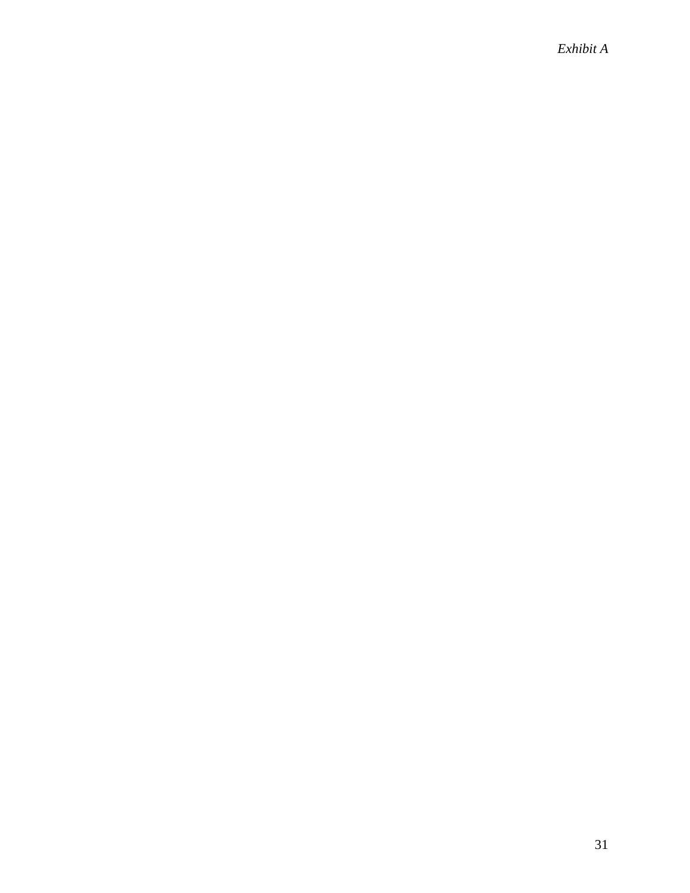*Exhibit A*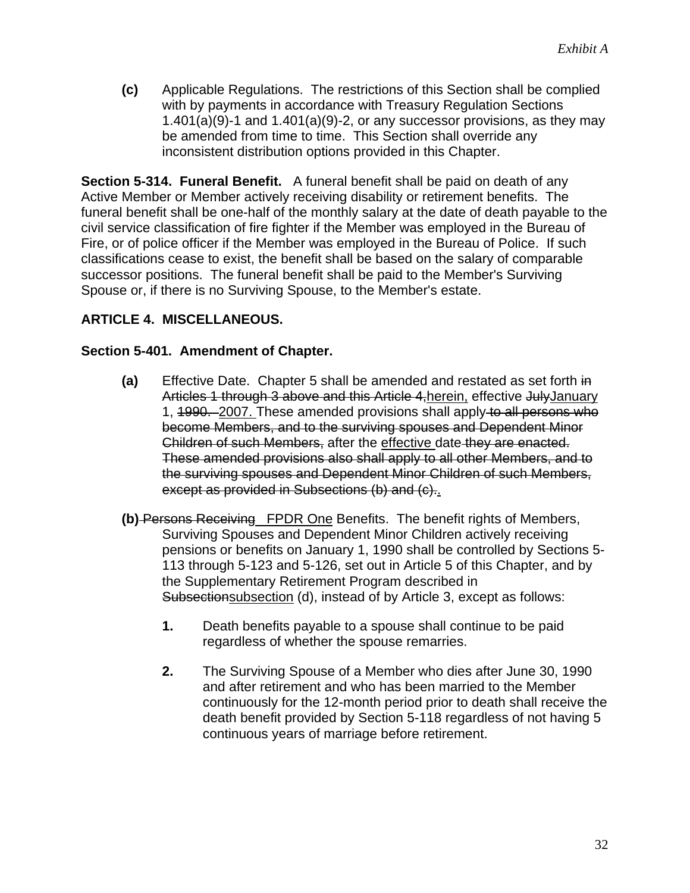**(c)** Applicable Regulations. The restrictions of this Section shall be complied with by payments in accordance with Treasury Regulation Sections  $1.401(a)(9)-1$  and  $1.401(a)(9)-2$ , or any successor provisions, as they may be amended from time to time. This Section shall override any inconsistent distribution options provided in this Chapter.

**Section 5-314. Funeral Benefit.** A funeral benefit shall be paid on death of any Active Member or Member actively receiving disability or retirement benefits. The funeral benefit shall be one-half of the monthly salary at the date of death payable to the civil service classification of fire fighter if the Member was employed in the Bureau of Fire, or of police officer if the Member was employed in the Bureau of Police. If such classifications cease to exist, the benefit shall be based on the salary of comparable successor positions. The funeral benefit shall be paid to the Member's Surviving Spouse or, if there is no Surviving Spouse, to the Member's estate.

### **ARTICLE 4. MISCELLANEOUS.**

#### **Section 5-401. Amendment of Chapter.**

- **(a)** Effective Date. Chapter 5 shall be amended and restated as set forth in Articles 1 through 3 above and this Article 4,herein, effective JulyJanuary 1, 1990. 2007. These amended provisions shall apply to all persons who become Members, and to the surviving spouses and Dependent Minor Children of such Members, after the effective date they are enacted. These amended provisions also shall apply to all other Members, and to the surviving spouses and Dependent Minor Children of such Members, except as provided in Subsections (b) and (c)..
- **(b)** Persons Receiving FPDR One Benefits. The benefit rights of Members, Surviving Spouses and Dependent Minor Children actively receiving pensions or benefits on January 1, 1990 shall be controlled by Sections 5- 113 through 5-123 and 5-126, set out in Article 5 of this Chapter, and by the Supplementary Retirement Program described in Subsectionsubsection (d), instead of by Article 3, except as follows:
	- **1.** Death benefits payable to a spouse shall continue to be paid regardless of whether the spouse remarries.
	- **2.** The Surviving Spouse of a Member who dies after June 30, 1990 and after retirement and who has been married to the Member continuously for the 12-month period prior to death shall receive the death benefit provided by Section 5-118 regardless of not having 5 continuous years of marriage before retirement.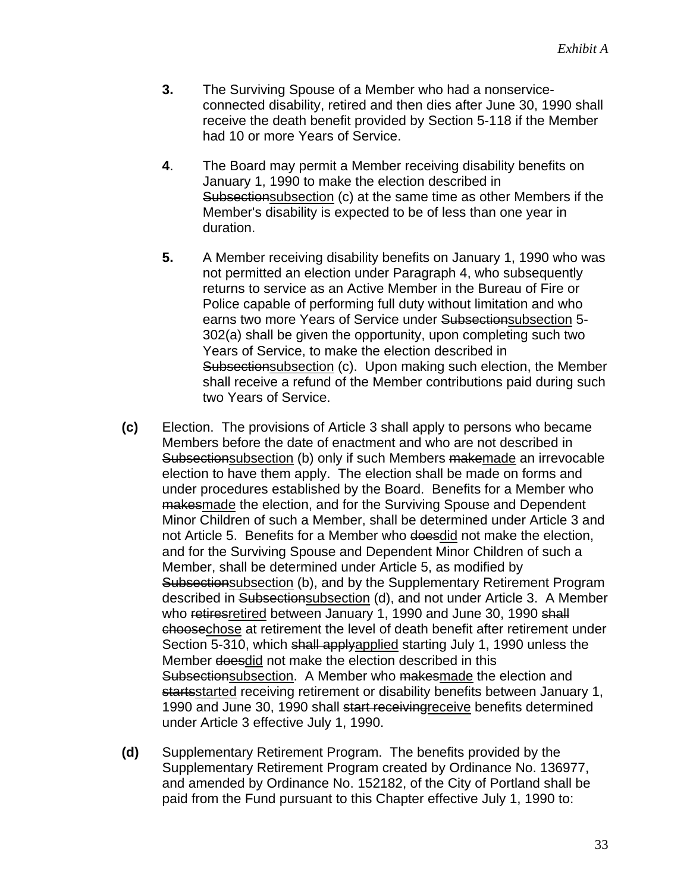- **3.** The Surviving Spouse of a Member who had a nonserviceconnected disability, retired and then dies after June 30, 1990 shall receive the death benefit provided by Section 5-118 if the Member had 10 or more Years of Service.
- **4**. The Board may permit a Member receiving disability benefits on January 1, 1990 to make the election described in Subsectionsubsection (c) at the same time as other Members if the Member's disability is expected to be of less than one year in duration.
- **5.** A Member receiving disability benefits on January 1, 1990 who was not permitted an election under Paragraph 4, who subsequently returns to service as an Active Member in the Bureau of Fire or Police capable of performing full duty without limitation and who earns two more Years of Service under Subsectionsubsection 5- 302(a) shall be given the opportunity, upon completing such two Years of Service, to make the election described in Subsectionsubsection (c). Upon making such election, the Member shall receive a refund of the Member contributions paid during such two Years of Service.
- **(c)** Election. The provisions of Article 3 shall apply to persons who became Members before the date of enactment and who are not described in Subsectionsubsection (b) only if such Members makemade an irrevocable election to have them apply. The election shall be made on forms and under procedures established by the Board. Benefits for a Member who makesmade the election, and for the Surviving Spouse and Dependent Minor Children of such a Member, shall be determined under Article 3 and not Article 5. Benefits for a Member who doesdid not make the election, and for the Surviving Spouse and Dependent Minor Children of such a Member, shall be determined under Article 5, as modified by Subsectionsubsection (b), and by the Supplementary Retirement Program described in Subsectionsubsection (d), and not under Article 3. A Member who retires retired between January 1, 1990 and June 30, 1990 shall choosechose at retirement the level of death benefit after retirement under Section 5-310, which shall applyapplied starting July 1, 1990 unless the Member doesdid not make the election described in this Subsectionsubsection. A Member who makesmade the election and startsstarted receiving retirement or disability benefits between January 1, 1990 and June 30, 1990 shall start receiving receive benefits determined under Article 3 effective July 1, 1990.
- **(d)** Supplementary Retirement Program. The benefits provided by the Supplementary Retirement Program created by Ordinance No. 136977, and amended by Ordinance No. 152182, of the City of Portland shall be paid from the Fund pursuant to this Chapter effective July 1, 1990 to: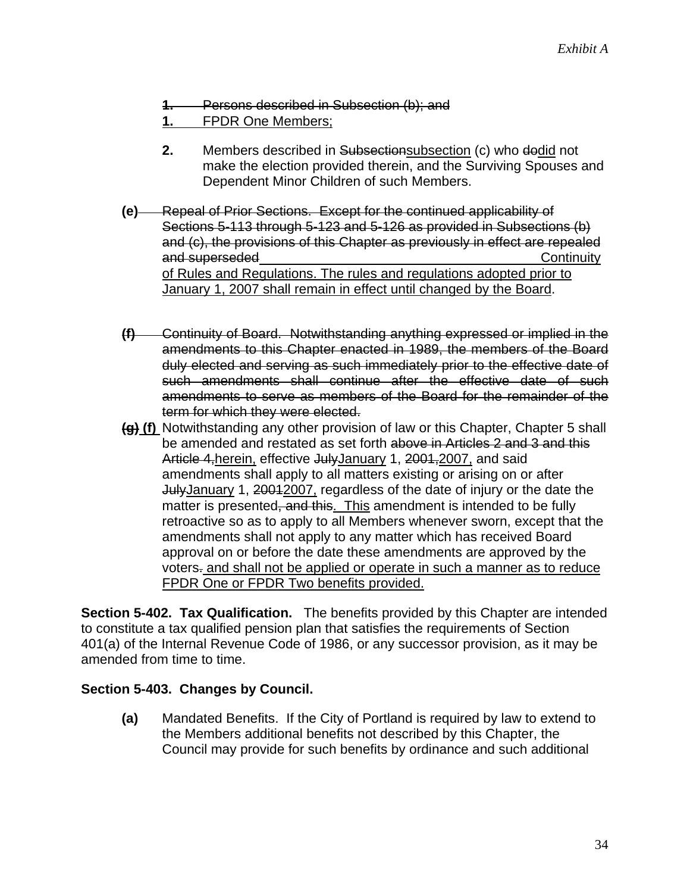- **1.** Persons described in Subsection (b); and
- **1.** FPDR One Members;
- **2.** Members described in Subsectionsubsection (c) who dodid not make the election provided therein, and the Surviving Spouses and Dependent Minor Children of such Members.
- **(e)** Repeal of Prior Sections. Except for the continued applicability of Sections 5-113 through 5-123 and 5-126 as provided in Subsections (b) and (c), the provisions of this Chapter as previously in effect are repealed and superseded **by a continuity** continuity and superseded **continuity** continuity of Rules and Regulations. The rules and regulations adopted prior to January 1, 2007 shall remain in effect until changed by the Board.
- **(f)** Continuity of Board. Notwithstanding anything expressed or implied in the amendments to this Chapter enacted in 1989, the members of the Board duly elected and serving as such immediately prior to the effective date of such amendments shall continue after the effective date of such amendments to serve as members of the Board for the remainder of the term for which they were elected.
- **(g) (f)** Notwithstanding any other provision of law or this Chapter, Chapter 5 shall be amended and restated as set forth above in Articles 2 and 3 and this Article 4, herein, effective JulyJanuary 1, 2001, 2007, and said amendments shall apply to all matters existing or arising on or after JulyJanuary 1, 20012007, regardless of the date of injury or the date the matter is presented, and this. This amendment is intended to be fully retroactive so as to apply to all Members whenever sworn, except that the amendments shall not apply to any matter which has received Board approval on or before the date these amendments are approved by the voters. and shall not be applied or operate in such a manner as to reduce FPDR One or FPDR Two benefits provided.

**Section 5-402. Tax Qualification.** The benefits provided by this Chapter are intended to constitute a tax qualified pension plan that satisfies the requirements of Section 401(a) of the Internal Revenue Code of 1986, or any successor provision, as it may be amended from time to time.

#### **Section 5-403. Changes by Council.**

**(a)** Mandated Benefits. If the City of Portland is required by law to extend to the Members additional benefits not described by this Chapter, the Council may provide for such benefits by ordinance and such additional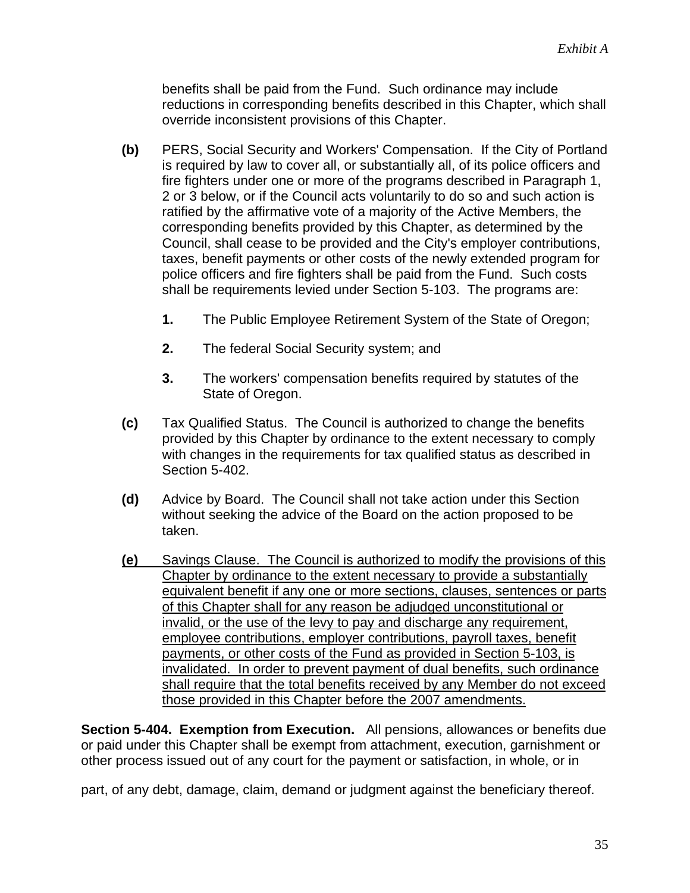benefits shall be paid from the Fund. Such ordinance may include reductions in corresponding benefits described in this Chapter, which shall override inconsistent provisions of this Chapter.

- **(b)** PERS, Social Security and Workers' Compensation. If the City of Portland is required by law to cover all, or substantially all, of its police officers and fire fighters under one or more of the programs described in Paragraph 1, 2 or 3 below, or if the Council acts voluntarily to do so and such action is ratified by the affirmative vote of a majority of the Active Members, the corresponding benefits provided by this Chapter, as determined by the Council, shall cease to be provided and the City's employer contributions, taxes, benefit payments or other costs of the newly extended program for police officers and fire fighters shall be paid from the Fund. Such costs shall be requirements levied under Section 5-103. The programs are:
	- **1.** The Public Employee Retirement System of the State of Oregon;
	- **2.** The federal Social Security system; and
	- **3.** The workers' compensation benefits required by statutes of the State of Oregon.
- **(c)** Tax Qualified Status. The Council is authorized to change the benefits provided by this Chapter by ordinance to the extent necessary to comply with changes in the requirements for tax qualified status as described in Section 5-402.
- **(d)** Advice by Board. The Council shall not take action under this Section without seeking the advice of the Board on the action proposed to be taken.
- **(e)** Savings Clause. The Council is authorized to modify the provisions of this Chapter by ordinance to the extent necessary to provide a substantially equivalent benefit if any one or more sections, clauses, sentences or parts of this Chapter shall for any reason be adjudged unconstitutional or invalid, or the use of the levy to pay and discharge any requirement, employee contributions, employer contributions, payroll taxes, benefit payments, or other costs of the Fund as provided in Section 5-103, is invalidated. In order to prevent payment of dual benefits, such ordinance shall require that the total benefits received by any Member do not exceed those provided in this Chapter before the 2007 amendments.

**Section 5-404. Exemption from Execution.** All pensions, allowances or benefits due or paid under this Chapter shall be exempt from attachment, execution, garnishment or other process issued out of any court for the payment or satisfaction, in whole, or in

part, of any debt, damage, claim, demand or judgment against the beneficiary thereof.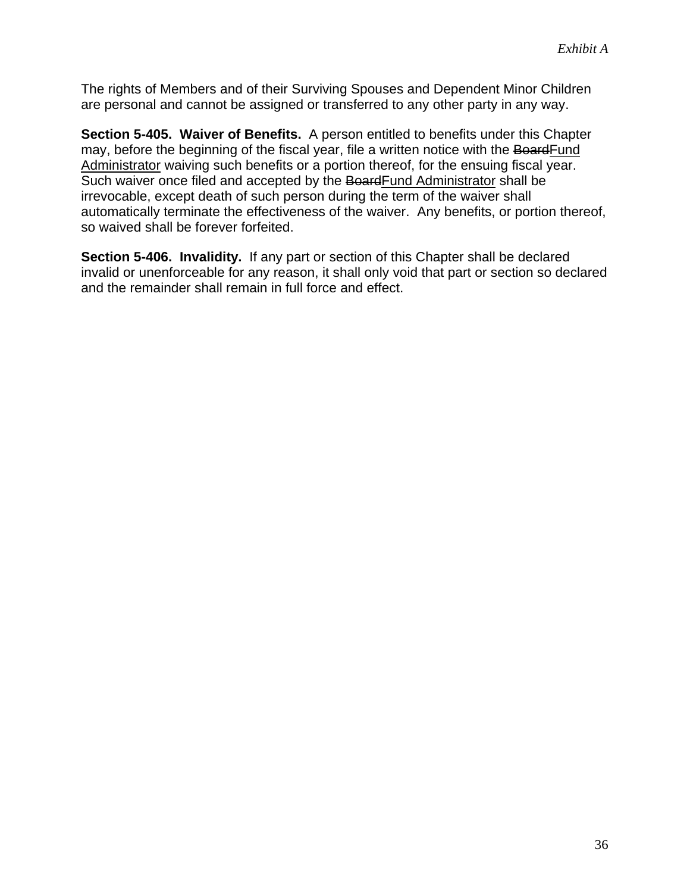The rights of Members and of their Surviving Spouses and Dependent Minor Children are personal and cannot be assigned or transferred to any other party in any way.

**Section 5-405. Waiver of Benefits.** A person entitled to benefits under this Chapter may, before the beginning of the fiscal year, file a written notice with the BoardFund Administrator waiving such benefits or a portion thereof, for the ensuing fiscal year. Such waiver once filed and accepted by the BoardFund Administrator shall be irrevocable, except death of such person during the term of the waiver shall automatically terminate the effectiveness of the waiver. Any benefits, or portion thereof, so waived shall be forever forfeited.

**Section 5-406. Invalidity.** If any part or section of this Chapter shall be declared invalid or unenforceable for any reason, it shall only void that part or section so declared and the remainder shall remain in full force and effect.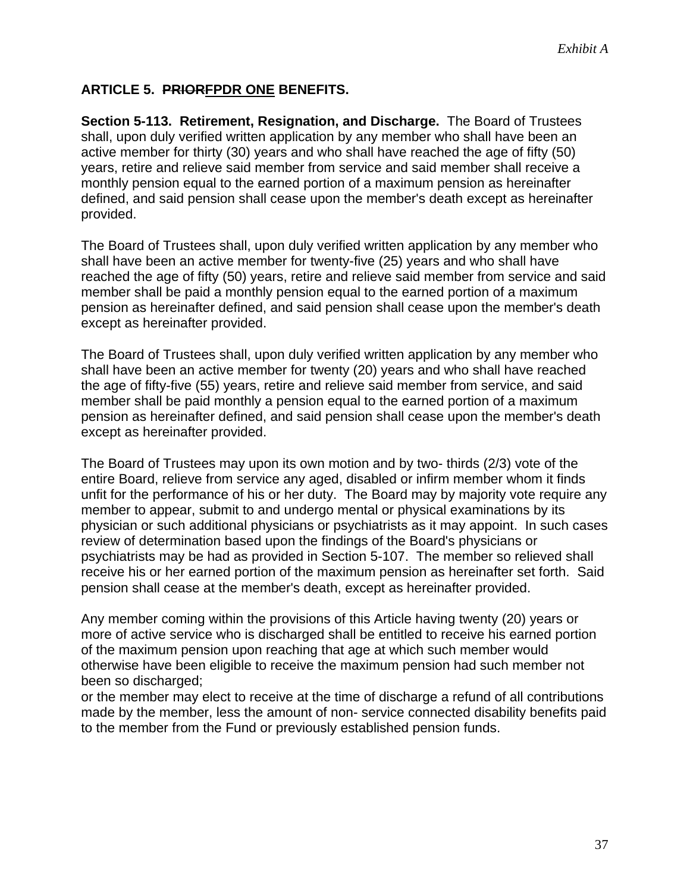# **ARTICLE 5. PRIORFPDR ONE BENEFITS.**

**Section 5-113. Retirement, Resignation, and Discharge.** The Board of Trustees shall, upon duly verified written application by any member who shall have been an active member for thirty (30) years and who shall have reached the age of fifty (50) years, retire and relieve said member from service and said member shall receive a monthly pension equal to the earned portion of a maximum pension as hereinafter defined, and said pension shall cease upon the member's death except as hereinafter provided.

The Board of Trustees shall, upon duly verified written application by any member who shall have been an active member for twenty-five (25) years and who shall have reached the age of fifty (50) years, retire and relieve said member from service and said member shall be paid a monthly pension equal to the earned portion of a maximum pension as hereinafter defined, and said pension shall cease upon the member's death except as hereinafter provided.

The Board of Trustees shall, upon duly verified written application by any member who shall have been an active member for twenty (20) years and who shall have reached the age of fifty-five (55) years, retire and relieve said member from service, and said member shall be paid monthly a pension equal to the earned portion of a maximum pension as hereinafter defined, and said pension shall cease upon the member's death except as hereinafter provided.

The Board of Trustees may upon its own motion and by two- thirds (2/3) vote of the entire Board, relieve from service any aged, disabled or infirm member whom it finds unfit for the performance of his or her duty. The Board may by majority vote require any member to appear, submit to and undergo mental or physical examinations by its physician or such additional physicians or psychiatrists as it may appoint. In such cases review of determination based upon the findings of the Board's physicians or psychiatrists may be had as provided in Section 5-107. The member so relieved shall receive his or her earned portion of the maximum pension as hereinafter set forth. Said pension shall cease at the member's death, except as hereinafter provided.

Any member coming within the provisions of this Article having twenty (20) years or more of active service who is discharged shall be entitled to receive his earned portion of the maximum pension upon reaching that age at which such member would otherwise have been eligible to receive the maximum pension had such member not been so discharged;

or the member may elect to receive at the time of discharge a refund of all contributions made by the member, less the amount of non- service connected disability benefits paid to the member from the Fund or previously established pension funds.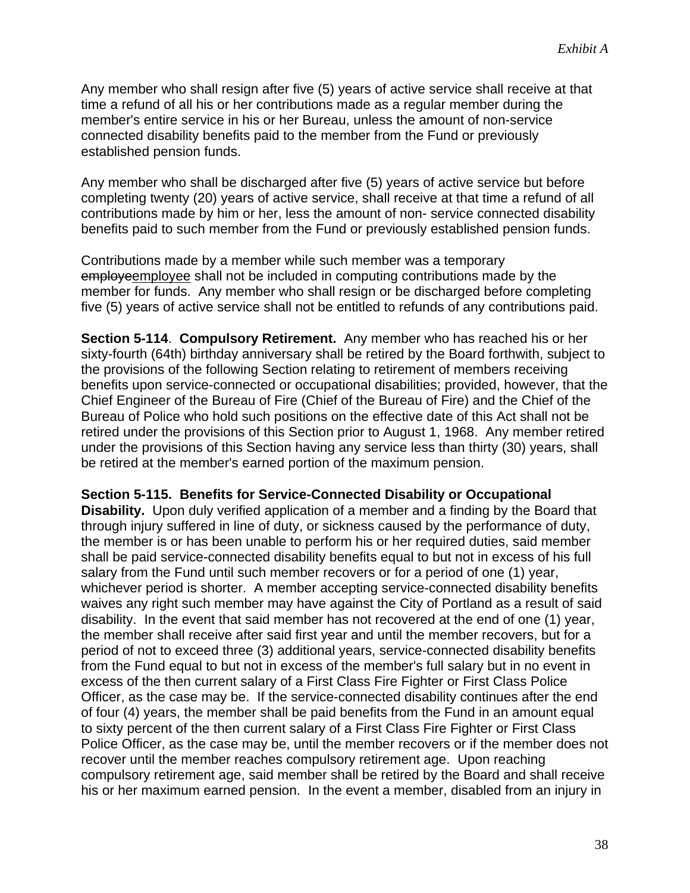Any member who shall resign after five (5) years of active service shall receive at that time a refund of all his or her contributions made as a regular member during the member's entire service in his or her Bureau, unless the amount of non-service connected disability benefits paid to the member from the Fund or previously established pension funds.

Any member who shall be discharged after five (5) years of active service but before completing twenty (20) years of active service, shall receive at that time a refund of all contributions made by him or her, less the amount of non- service connected disability benefits paid to such member from the Fund or previously established pension funds.

Contributions made by a member while such member was a temporary employeemployee shall not be included in computing contributions made by the member for funds. Any member who shall resign or be discharged before completing five (5) years of active service shall not be entitled to refunds of any contributions paid.

**Section 5-114**. **Compulsory Retirement.** Any member who has reached his or her sixty-fourth (64th) birthday anniversary shall be retired by the Board forthwith, subject to the provisions of the following Section relating to retirement of members receiving benefits upon service-connected or occupational disabilities; provided, however, that the Chief Engineer of the Bureau of Fire (Chief of the Bureau of Fire) and the Chief of the Bureau of Police who hold such positions on the effective date of this Act shall not be retired under the provisions of this Section prior to August 1, 1968. Any member retired under the provisions of this Section having any service less than thirty (30) years, shall be retired at the member's earned portion of the maximum pension.

#### **Section 5-115. Benefits for Service-Connected Disability or Occupational**

**Disability.** Upon duly verified application of a member and a finding by the Board that through injury suffered in line of duty, or sickness caused by the performance of duty, the member is or has been unable to perform his or her required duties, said member shall be paid service-connected disability benefits equal to but not in excess of his full salary from the Fund until such member recovers or for a period of one (1) year, whichever period is shorter. A member accepting service-connected disability benefits waives any right such member may have against the City of Portland as a result of said disability. In the event that said member has not recovered at the end of one (1) year, the member shall receive after said first year and until the member recovers, but for a period of not to exceed three (3) additional years, service-connected disability benefits from the Fund equal to but not in excess of the member's full salary but in no event in excess of the then current salary of a First Class Fire Fighter or First Class Police Officer, as the case may be. If the service-connected disability continues after the end of four (4) years, the member shall be paid benefits from the Fund in an amount equal to sixty percent of the then current salary of a First Class Fire Fighter or First Class Police Officer, as the case may be, until the member recovers or if the member does not recover until the member reaches compulsory retirement age. Upon reaching compulsory retirement age, said member shall be retired by the Board and shall receive his or her maximum earned pension. In the event a member, disabled from an injury in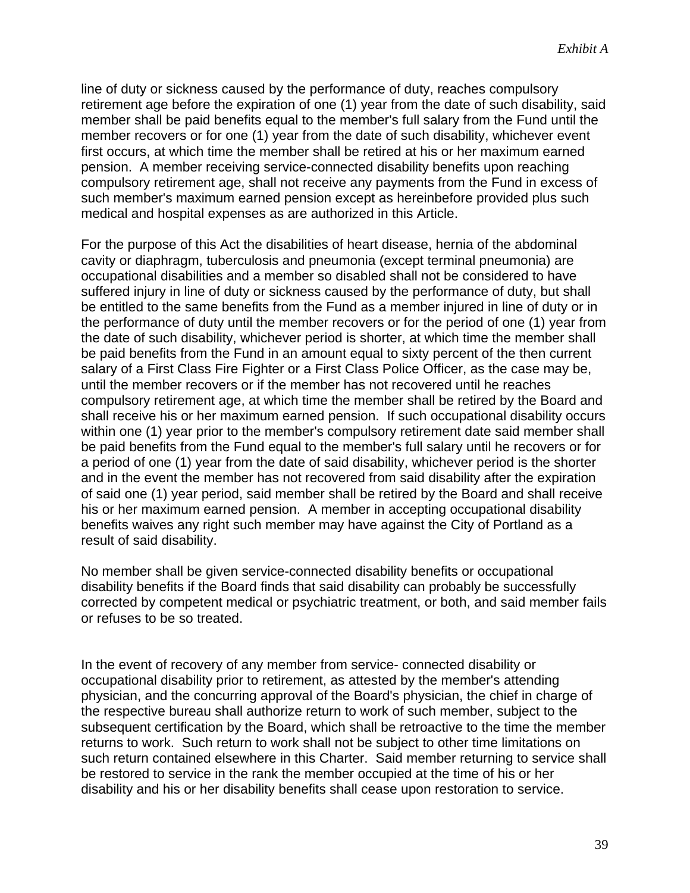line of duty or sickness caused by the performance of duty, reaches compulsory retirement age before the expiration of one (1) year from the date of such disability, said member shall be paid benefits equal to the member's full salary from the Fund until the member recovers or for one (1) year from the date of such disability, whichever event first occurs, at which time the member shall be retired at his or her maximum earned pension. A member receiving service-connected disability benefits upon reaching compulsory retirement age, shall not receive any payments from the Fund in excess of such member's maximum earned pension except as hereinbefore provided plus such medical and hospital expenses as are authorized in this Article.

For the purpose of this Act the disabilities of heart disease, hernia of the abdominal cavity or diaphragm, tuberculosis and pneumonia (except terminal pneumonia) are occupational disabilities and a member so disabled shall not be considered to have suffered injury in line of duty or sickness caused by the performance of duty, but shall be entitled to the same benefits from the Fund as a member injured in line of duty or in the performance of duty until the member recovers or for the period of one (1) year from the date of such disability, whichever period is shorter, at which time the member shall be paid benefits from the Fund in an amount equal to sixty percent of the then current salary of a First Class Fire Fighter or a First Class Police Officer, as the case may be, until the member recovers or if the member has not recovered until he reaches compulsory retirement age, at which time the member shall be retired by the Board and shall receive his or her maximum earned pension. If such occupational disability occurs within one (1) year prior to the member's compulsory retirement date said member shall be paid benefits from the Fund equal to the member's full salary until he recovers or for a period of one (1) year from the date of said disability, whichever period is the shorter and in the event the member has not recovered from said disability after the expiration of said one (1) year period, said member shall be retired by the Board and shall receive his or her maximum earned pension. A member in accepting occupational disability benefits waives any right such member may have against the City of Portland as a result of said disability.

No member shall be given service-connected disability benefits or occupational disability benefits if the Board finds that said disability can probably be successfully corrected by competent medical or psychiatric treatment, or both, and said member fails or refuses to be so treated.

In the event of recovery of any member from service- connected disability or occupational disability prior to retirement, as attested by the member's attending physician, and the concurring approval of the Board's physician, the chief in charge of the respective bureau shall authorize return to work of such member, subject to the subsequent certification by the Board, which shall be retroactive to the time the member returns to work. Such return to work shall not be subject to other time limitations on such return contained elsewhere in this Charter. Said member returning to service shall be restored to service in the rank the member occupied at the time of his or her disability and his or her disability benefits shall cease upon restoration to service.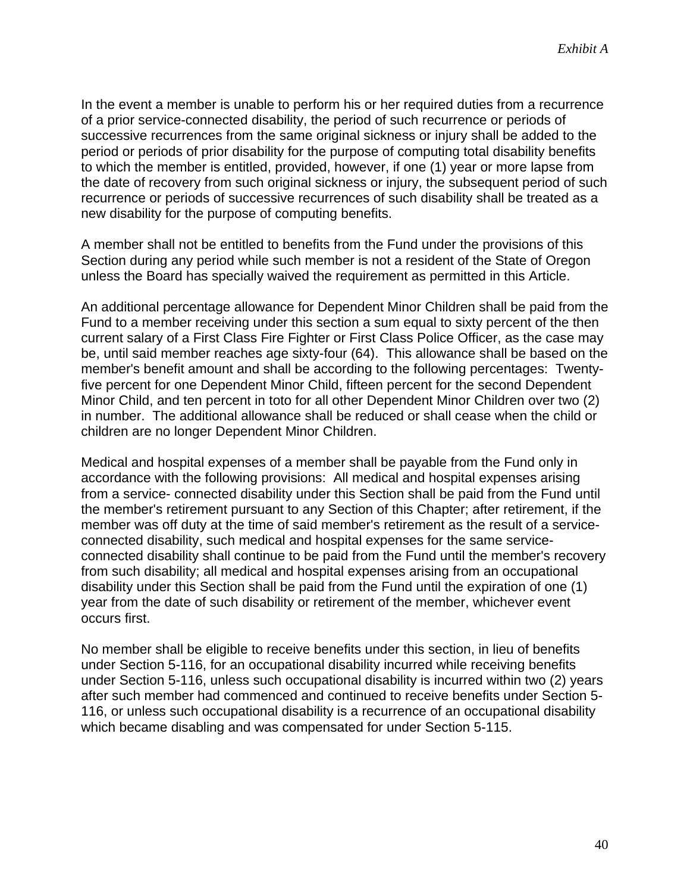In the event a member is unable to perform his or her required duties from a recurrence of a prior service-connected disability, the period of such recurrence or periods of successive recurrences from the same original sickness or injury shall be added to the period or periods of prior disability for the purpose of computing total disability benefits to which the member is entitled, provided, however, if one (1) year or more lapse from the date of recovery from such original sickness or injury, the subsequent period of such recurrence or periods of successive recurrences of such disability shall be treated as a new disability for the purpose of computing benefits.

A member shall not be entitled to benefits from the Fund under the provisions of this Section during any period while such member is not a resident of the State of Oregon unless the Board has specially waived the requirement as permitted in this Article.

An additional percentage allowance for Dependent Minor Children shall be paid from the Fund to a member receiving under this section a sum equal to sixty percent of the then current salary of a First Class Fire Fighter or First Class Police Officer, as the case may be, until said member reaches age sixty-four (64). This allowance shall be based on the member's benefit amount and shall be according to the following percentages: Twentyfive percent for one Dependent Minor Child, fifteen percent for the second Dependent Minor Child, and ten percent in toto for all other Dependent Minor Children over two (2) in number. The additional allowance shall be reduced or shall cease when the child or children are no longer Dependent Minor Children.

Medical and hospital expenses of a member shall be payable from the Fund only in accordance with the following provisions: All medical and hospital expenses arising from a service- connected disability under this Section shall be paid from the Fund until the member's retirement pursuant to any Section of this Chapter; after retirement, if the member was off duty at the time of said member's retirement as the result of a serviceconnected disability, such medical and hospital expenses for the same serviceconnected disability shall continue to be paid from the Fund until the member's recovery from such disability; all medical and hospital expenses arising from an occupational disability under this Section shall be paid from the Fund until the expiration of one (1) year from the date of such disability or retirement of the member, whichever event occurs first.

No member shall be eligible to receive benefits under this section, in lieu of benefits under Section 5-116, for an occupational disability incurred while receiving benefits under Section 5-116, unless such occupational disability is incurred within two (2) years after such member had commenced and continued to receive benefits under Section 5- 116, or unless such occupational disability is a recurrence of an occupational disability which became disabling and was compensated for under Section 5-115.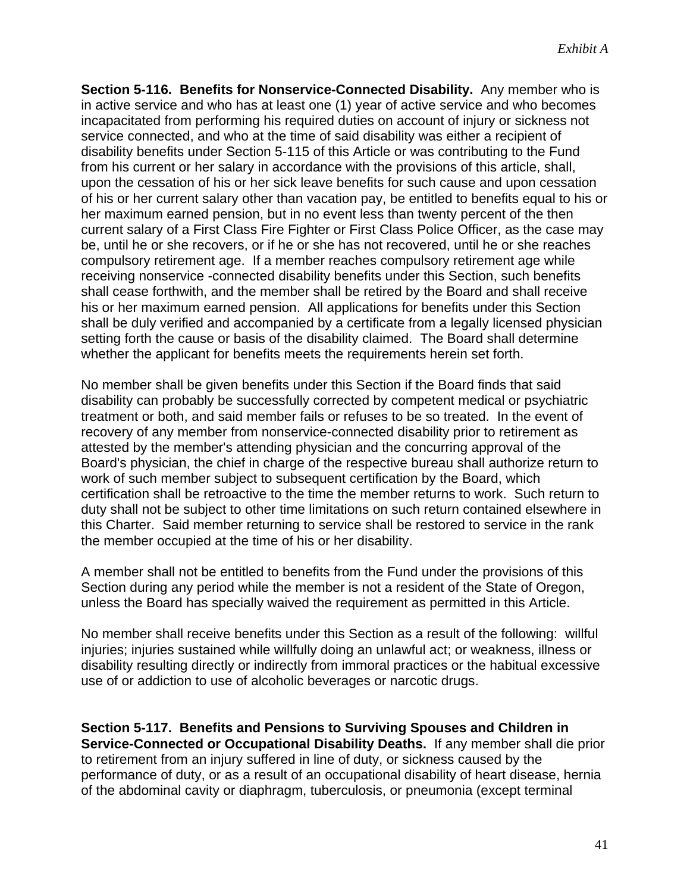**Section 5-116. Benefits for Nonservice-Connected Disability.** Any member who is in active service and who has at least one (1) year of active service and who becomes incapacitated from performing his required duties on account of injury or sickness not service connected, and who at the time of said disability was either a recipient of disability benefits under Section 5-115 of this Article or was contributing to the Fund from his current or her salary in accordance with the provisions of this article, shall, upon the cessation of his or her sick leave benefits for such cause and upon cessation of his or her current salary other than vacation pay, be entitled to benefits equal to his or her maximum earned pension, but in no event less than twenty percent of the then current salary of a First Class Fire Fighter or First Class Police Officer, as the case may be, until he or she recovers, or if he or she has not recovered, until he or she reaches compulsory retirement age. If a member reaches compulsory retirement age while receiving nonservice -connected disability benefits under this Section, such benefits shall cease forthwith, and the member shall be retired by the Board and shall receive his or her maximum earned pension. All applications for benefits under this Section shall be duly verified and accompanied by a certificate from a legally licensed physician setting forth the cause or basis of the disability claimed. The Board shall determine whether the applicant for benefits meets the requirements herein set forth.

No member shall be given benefits under this Section if the Board finds that said disability can probably be successfully corrected by competent medical or psychiatric treatment or both, and said member fails or refuses to be so treated. In the event of recovery of any member from nonservice-connected disability prior to retirement as attested by the member's attending physician and the concurring approval of the Board's physician, the chief in charge of the respective bureau shall authorize return to work of such member subject to subsequent certification by the Board, which certification shall be retroactive to the time the member returns to work. Such return to duty shall not be subject to other time limitations on such return contained elsewhere in this Charter. Said member returning to service shall be restored to service in the rank the member occupied at the time of his or her disability.

A member shall not be entitled to benefits from the Fund under the provisions of this Section during any period while the member is not a resident of the State of Oregon, unless the Board has specially waived the requirement as permitted in this Article.

No member shall receive benefits under this Section as a result of the following: willful injuries; injuries sustained while willfully doing an unlawful act; or weakness, illness or disability resulting directly or indirectly from immoral practices or the habitual excessive use of or addiction to use of alcoholic beverages or narcotic drugs.

**Section 5-117. Benefits and Pensions to Surviving Spouses and Children in Service-Connected or Occupational Disability Deaths.** If any member shall die prior to retirement from an injury suffered in line of duty, or sickness caused by the performance of duty, or as a result of an occupational disability of heart disease, hernia of the abdominal cavity or diaphragm, tuberculosis, or pneumonia (except terminal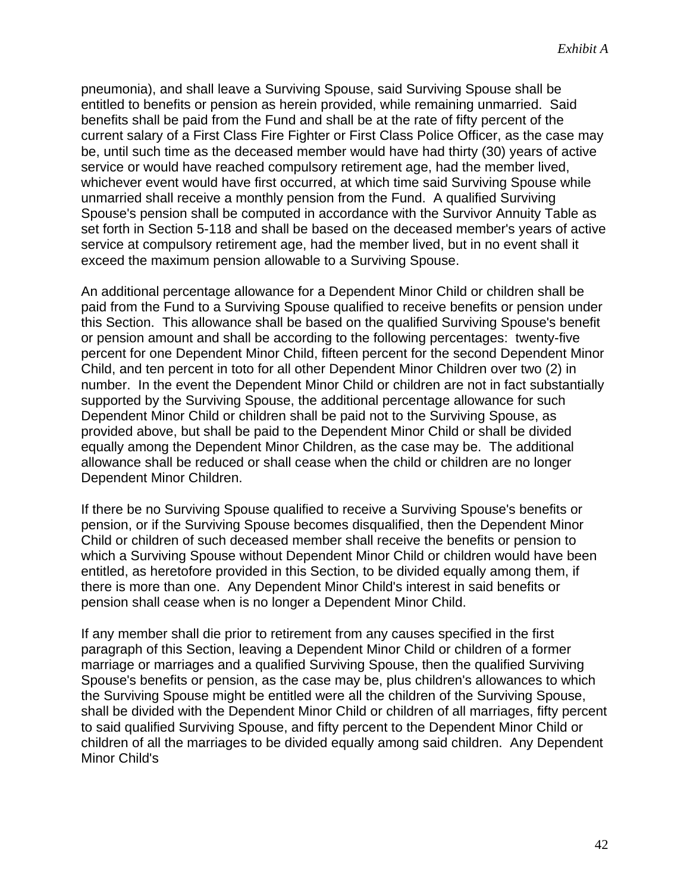pneumonia), and shall leave a Surviving Spouse, said Surviving Spouse shall be entitled to benefits or pension as herein provided, while remaining unmarried. Said benefits shall be paid from the Fund and shall be at the rate of fifty percent of the current salary of a First Class Fire Fighter or First Class Police Officer, as the case may be, until such time as the deceased member would have had thirty (30) years of active service or would have reached compulsory retirement age, had the member lived, whichever event would have first occurred, at which time said Surviving Spouse while unmarried shall receive a monthly pension from the Fund. A qualified Surviving Spouse's pension shall be computed in accordance with the Survivor Annuity Table as set forth in Section 5-118 and shall be based on the deceased member's years of active service at compulsory retirement age, had the member lived, but in no event shall it exceed the maximum pension allowable to a Surviving Spouse.

An additional percentage allowance for a Dependent Minor Child or children shall be paid from the Fund to a Surviving Spouse qualified to receive benefits or pension under this Section. This allowance shall be based on the qualified Surviving Spouse's benefit or pension amount and shall be according to the following percentages: twenty-five percent for one Dependent Minor Child, fifteen percent for the second Dependent Minor Child, and ten percent in toto for all other Dependent Minor Children over two (2) in number. In the event the Dependent Minor Child or children are not in fact substantially supported by the Surviving Spouse, the additional percentage allowance for such Dependent Minor Child or children shall be paid not to the Surviving Spouse, as provided above, but shall be paid to the Dependent Minor Child or shall be divided equally among the Dependent Minor Children, as the case may be. The additional allowance shall be reduced or shall cease when the child or children are no longer Dependent Minor Children.

If there be no Surviving Spouse qualified to receive a Surviving Spouse's benefits or pension, or if the Surviving Spouse becomes disqualified, then the Dependent Minor Child or children of such deceased member shall receive the benefits or pension to which a Surviving Spouse without Dependent Minor Child or children would have been entitled, as heretofore provided in this Section, to be divided equally among them, if there is more than one. Any Dependent Minor Child's interest in said benefits or pension shall cease when is no longer a Dependent Minor Child.

If any member shall die prior to retirement from any causes specified in the first paragraph of this Section, leaving a Dependent Minor Child or children of a former marriage or marriages and a qualified Surviving Spouse, then the qualified Surviving Spouse's benefits or pension, as the case may be, plus children's allowances to which the Surviving Spouse might be entitled were all the children of the Surviving Spouse, shall be divided with the Dependent Minor Child or children of all marriages, fifty percent to said qualified Surviving Spouse, and fifty percent to the Dependent Minor Child or children of all the marriages to be divided equally among said children. Any Dependent Minor Child's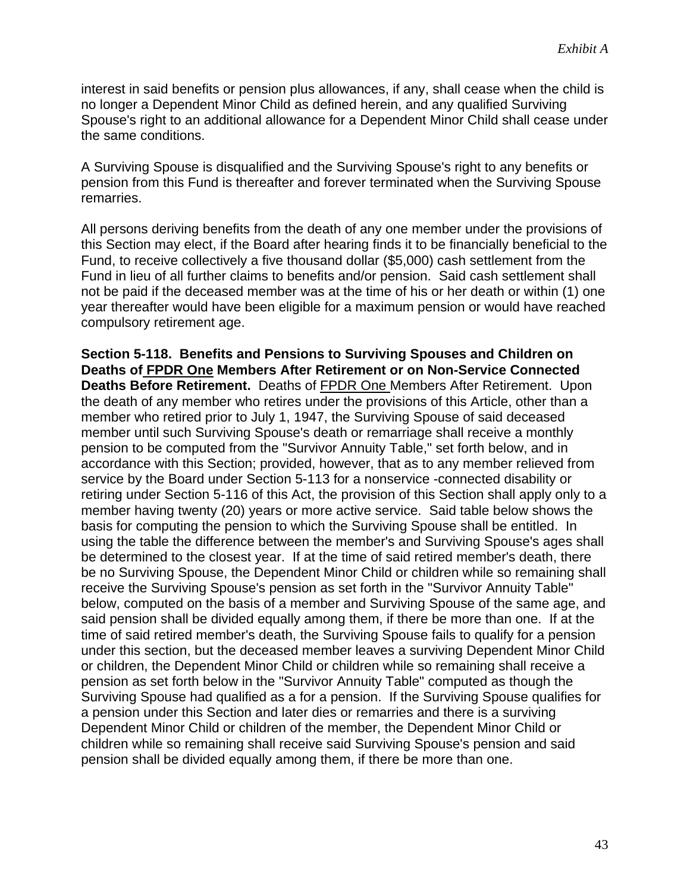interest in said benefits or pension plus allowances, if any, shall cease when the child is no longer a Dependent Minor Child as defined herein, and any qualified Surviving Spouse's right to an additional allowance for a Dependent Minor Child shall cease under the same conditions.

A Surviving Spouse is disqualified and the Surviving Spouse's right to any benefits or pension from this Fund is thereafter and forever terminated when the Surviving Spouse remarries.

All persons deriving benefits from the death of any one member under the provisions of this Section may elect, if the Board after hearing finds it to be financially beneficial to the Fund, to receive collectively a five thousand dollar (\$5,000) cash settlement from the Fund in lieu of all further claims to benefits and/or pension. Said cash settlement shall not be paid if the deceased member was at the time of his or her death or within (1) one year thereafter would have been eligible for a maximum pension or would have reached compulsory retirement age.

**Section 5-118. Benefits and Pensions to Surviving Spouses and Children on Deaths of FPDR One Members After Retirement or on Non-Service Connected Deaths Before Retirement.** Deaths of FPDR One Members After Retirement. Upon the death of any member who retires under the provisions of this Article, other than a member who retired prior to July 1, 1947, the Surviving Spouse of said deceased member until such Surviving Spouse's death or remarriage shall receive a monthly pension to be computed from the "Survivor Annuity Table," set forth below, and in accordance with this Section; provided, however, that as to any member relieved from service by the Board under Section 5-113 for a nonservice -connected disability or retiring under Section 5-116 of this Act, the provision of this Section shall apply only to a member having twenty (20) years or more active service. Said table below shows the basis for computing the pension to which the Surviving Spouse shall be entitled. In using the table the difference between the member's and Surviving Spouse's ages shall be determined to the closest year. If at the time of said retired member's death, there be no Surviving Spouse, the Dependent Minor Child or children while so remaining shall receive the Surviving Spouse's pension as set forth in the "Survivor Annuity Table" below, computed on the basis of a member and Surviving Spouse of the same age, and said pension shall be divided equally among them, if there be more than one. If at the time of said retired member's death, the Surviving Spouse fails to qualify for a pension under this section, but the deceased member leaves a surviving Dependent Minor Child or children, the Dependent Minor Child or children while so remaining shall receive a pension as set forth below in the "Survivor Annuity Table" computed as though the Surviving Spouse had qualified as a for a pension. If the Surviving Spouse qualifies for a pension under this Section and later dies or remarries and there is a surviving Dependent Minor Child or children of the member, the Dependent Minor Child or children while so remaining shall receive said Surviving Spouse's pension and said pension shall be divided equally among them, if there be more than one.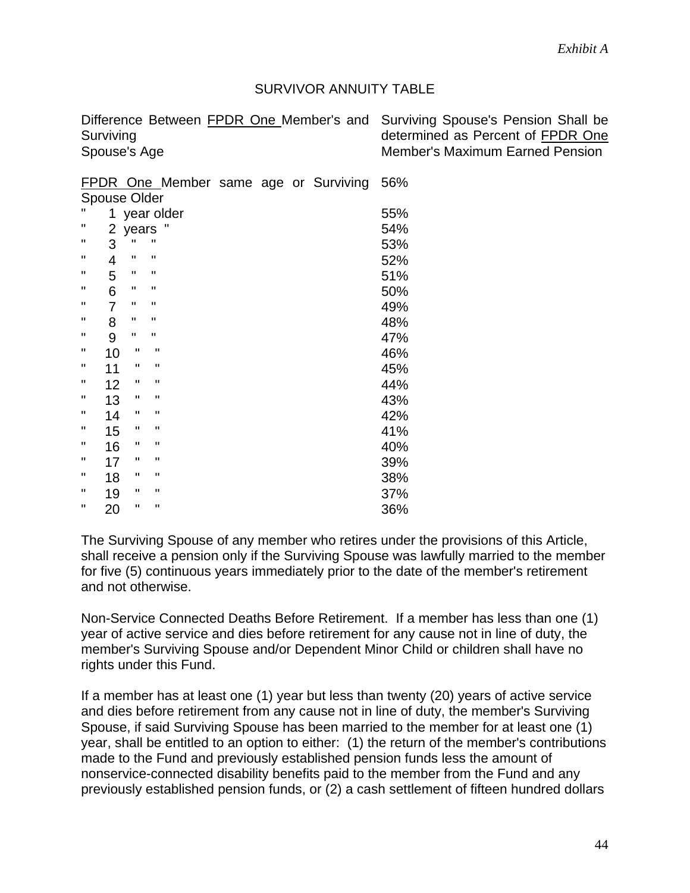#### SURVIVOR ANNUITY TABLE

| Difference Between FPDR One Member's and Surviving Spouse's Pension Shall be |                                        |
|------------------------------------------------------------------------------|----------------------------------------|
| Surviving                                                                    | determined as Percent of FPDR One      |
| Spouse's Age                                                                 | <b>Member's Maximum Earned Pension</b> |

|              |  |  | FPDR One Member same age or Surviving 56% |  |
|--------------|--|--|-------------------------------------------|--|
| Spouse Older |  |  |                                           |  |

| п                  | 1  |              | year older   | 55% |
|--------------------|----|--------------|--------------|-----|
| $\pmb{\mathsf{H}}$ | 2  | years        |              | 54% |
| п                  | 3  | π            | π            | 53% |
| п                  | 4  | П            | Π            | 52% |
| п                  | 5  | ш            | П            | 51% |
| п                  | 6  | π            | П            | 50% |
| п                  | 7  | п            | Π            | 49% |
| п                  | 8  | п            | Π            | 48% |
| п                  | 9  | п            | π            | 47% |
| п                  | 10 | п            | П            | 46% |
| п                  | 11 | п            | $\mathbf{H}$ | 45% |
| п                  | 12 | п            | п            | 44% |
| п                  | 13 | п            | П            | 43% |
| п                  | 14 | п            | $\mathbf{H}$ | 42% |
| п                  | 15 | п            | П            | 41% |
| п                  | 16 | п            | п            | 40% |
| п                  | 17 | п            | $\mathbf{H}$ | 39% |
| п                  | 18 | п            | $\mathbf{H}$ | 38% |
| Ш                  | 19 | п            | П            | 37% |
| п                  | 20 | $\mathbf{H}$ | $\mathbf{H}$ | 36% |

The Surviving Spouse of any member who retires under the provisions of this Article, shall receive a pension only if the Surviving Spouse was lawfully married to the member for five (5) continuous years immediately prior to the date of the member's retirement and not otherwise.

Non-Service Connected Deaths Before Retirement. If a member has less than one (1) year of active service and dies before retirement for any cause not in line of duty, the member's Surviving Spouse and/or Dependent Minor Child or children shall have no rights under this Fund.

If a member has at least one (1) year but less than twenty (20) years of active service and dies before retirement from any cause not in line of duty, the member's Surviving Spouse, if said Surviving Spouse has been married to the member for at least one (1) year, shall be entitled to an option to either: (1) the return of the member's contributions made to the Fund and previously established pension funds less the amount of nonservice-connected disability benefits paid to the member from the Fund and any previously established pension funds, or (2) a cash settlement of fifteen hundred dollars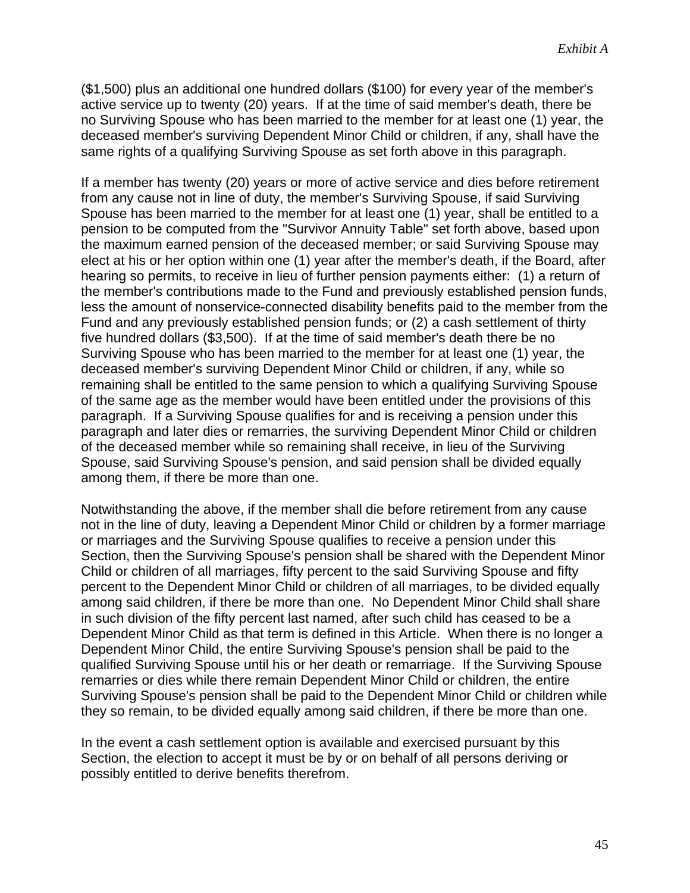(\$1,500) plus an additional one hundred dollars (\$100) for every year of the member's active service up to twenty (20) years. If at the time of said member's death, there be no Surviving Spouse who has been married to the member for at least one (1) year, the deceased member's surviving Dependent Minor Child or children, if any, shall have the same rights of a qualifying Surviving Spouse as set forth above in this paragraph.

If a member has twenty (20) years or more of active service and dies before retirement from any cause not in line of duty, the member's Surviving Spouse, if said Surviving Spouse has been married to the member for at least one (1) year, shall be entitled to a pension to be computed from the "Survivor Annuity Table" set forth above, based upon the maximum earned pension of the deceased member; or said Surviving Spouse may elect at his or her option within one (1) year after the member's death, if the Board, after hearing so permits, to receive in lieu of further pension payments either: (1) a return of the member's contributions made to the Fund and previously established pension funds, less the amount of nonservice-connected disability benefits paid to the member from the Fund and any previously established pension funds; or (2) a cash settlement of thirty five hundred dollars (\$3,500). If at the time of said member's death there be no Surviving Spouse who has been married to the member for at least one (1) year, the deceased member's surviving Dependent Minor Child or children, if any, while so remaining shall be entitled to the same pension to which a qualifying Surviving Spouse of the same age as the member would have been entitled under the provisions of this paragraph. If a Surviving Spouse qualifies for and is receiving a pension under this paragraph and later dies or remarries, the surviving Dependent Minor Child or children of the deceased member while so remaining shall receive, in lieu of the Surviving Spouse, said Surviving Spouse's pension, and said pension shall be divided equally among them, if there be more than one.

Notwithstanding the above, if the member shall die before retirement from any cause not in the line of duty, leaving a Dependent Minor Child or children by a former marriage or marriages and the Surviving Spouse qualifies to receive a pension under this Section, then the Surviving Spouse's pension shall be shared with the Dependent Minor Child or children of all marriages, fifty percent to the said Surviving Spouse and fifty percent to the Dependent Minor Child or children of all marriages, to be divided equally among said children, if there be more than one. No Dependent Minor Child shall share in such division of the fifty percent last named, after such child has ceased to be a Dependent Minor Child as that term is defined in this Article. When there is no longer a Dependent Minor Child, the entire Surviving Spouse's pension shall be paid to the qualified Surviving Spouse until his or her death or remarriage. If the Surviving Spouse remarries or dies while there remain Dependent Minor Child or children, the entire Surviving Spouse's pension shall be paid to the Dependent Minor Child or children while they so remain, to be divided equally among said children, if there be more than one.

In the event a cash settlement option is available and exercised pursuant by this Section, the election to accept it must be by or on behalf of all persons deriving or possibly entitled to derive benefits therefrom.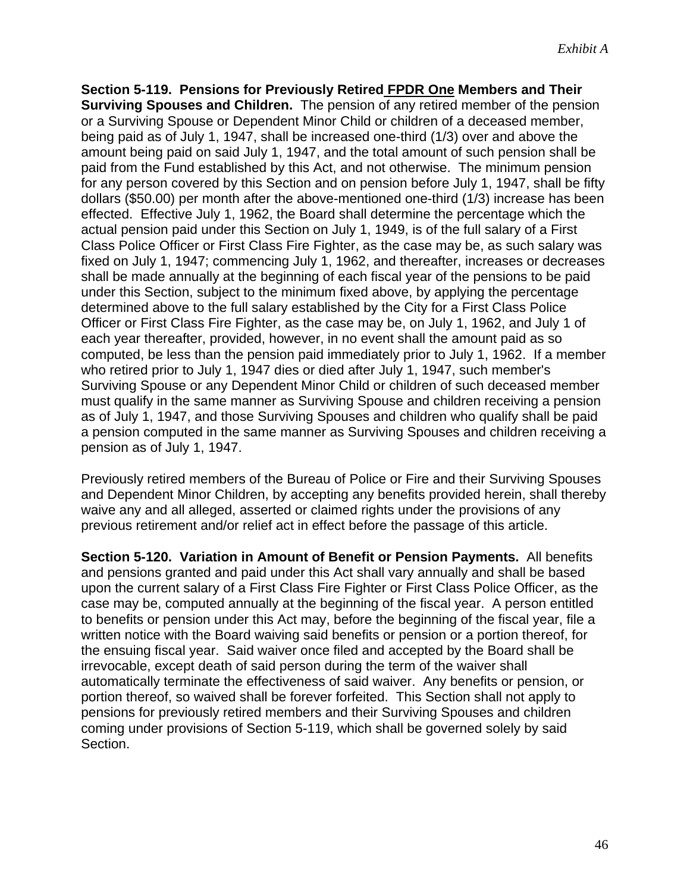**Section 5-119. Pensions for Previously Retired FPDR One Members and Their Surviving Spouses and Children.** The pension of any retired member of the pension or a Surviving Spouse or Dependent Minor Child or children of a deceased member, being paid as of July 1, 1947, shall be increased one-third (1/3) over and above the amount being paid on said July 1, 1947, and the total amount of such pension shall be paid from the Fund established by this Act, and not otherwise. The minimum pension for any person covered by this Section and on pension before July 1, 1947, shall be fifty dollars (\$50.00) per month after the above-mentioned one-third (1/3) increase has been effected. Effective July 1, 1962, the Board shall determine the percentage which the actual pension paid under this Section on July 1, 1949, is of the full salary of a First Class Police Officer or First Class Fire Fighter, as the case may be, as such salary was fixed on July 1, 1947; commencing July 1, 1962, and thereafter, increases or decreases shall be made annually at the beginning of each fiscal year of the pensions to be paid under this Section, subject to the minimum fixed above, by applying the percentage determined above to the full salary established by the City for a First Class Police Officer or First Class Fire Fighter, as the case may be, on July 1, 1962, and July 1 of each year thereafter, provided, however, in no event shall the amount paid as so computed, be less than the pension paid immediately prior to July 1, 1962. If a member who retired prior to July 1, 1947 dies or died after July 1, 1947, such member's Surviving Spouse or any Dependent Minor Child or children of such deceased member must qualify in the same manner as Surviving Spouse and children receiving a pension as of July 1, 1947, and those Surviving Spouses and children who qualify shall be paid a pension computed in the same manner as Surviving Spouses and children receiving a pension as of July 1, 1947.

Previously retired members of the Bureau of Police or Fire and their Surviving Spouses and Dependent Minor Children, by accepting any benefits provided herein, shall thereby waive any and all alleged, asserted or claimed rights under the provisions of any previous retirement and/or relief act in effect before the passage of this article.

**Section 5-120. Variation in Amount of Benefit or Pension Payments.** All benefits and pensions granted and paid under this Act shall vary annually and shall be based upon the current salary of a First Class Fire Fighter or First Class Police Officer, as the case may be, computed annually at the beginning of the fiscal year. A person entitled to benefits or pension under this Act may, before the beginning of the fiscal year, file a written notice with the Board waiving said benefits or pension or a portion thereof, for the ensuing fiscal year. Said waiver once filed and accepted by the Board shall be irrevocable, except death of said person during the term of the waiver shall automatically terminate the effectiveness of said waiver. Any benefits or pension, or portion thereof, so waived shall be forever forfeited. This Section shall not apply to pensions for previously retired members and their Surviving Spouses and children coming under provisions of Section 5-119, which shall be governed solely by said Section.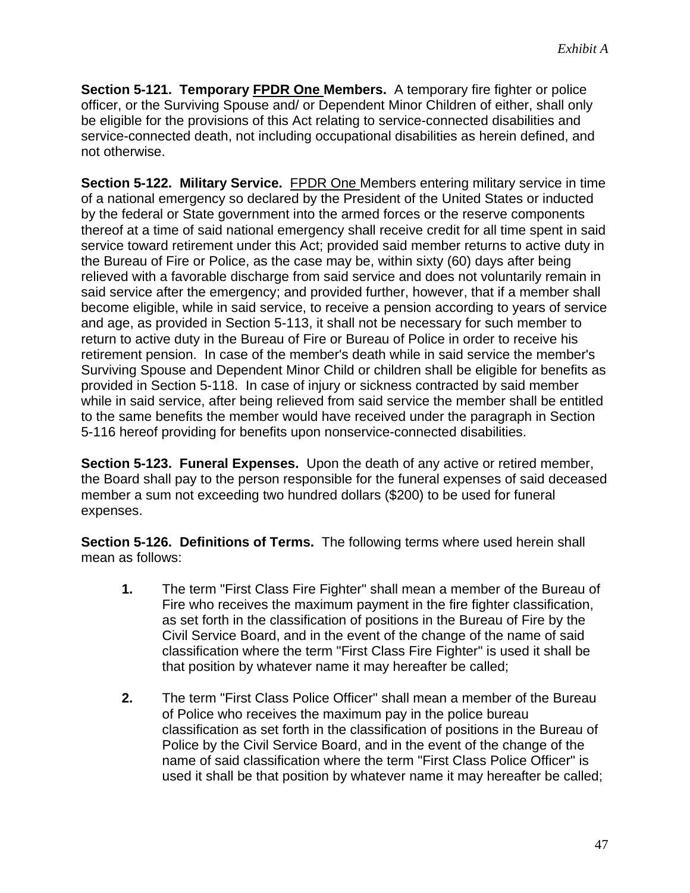**Section 5-121. Temporary FPDR One Members.** A temporary fire fighter or police officer, or the Surviving Spouse and/ or Dependent Minor Children of either, shall only be eligible for the provisions of this Act relating to service-connected disabilities and service-connected death, not including occupational disabilities as herein defined, and not otherwise.

**Section 5-122. Military Service.** FPDR One Members entering military service in time of a national emergency so declared by the President of the United States or inducted by the federal or State government into the armed forces or the reserve components thereof at a time of said national emergency shall receive credit for all time spent in said service toward retirement under this Act; provided said member returns to active duty in the Bureau of Fire or Police, as the case may be, within sixty (60) days after being relieved with a favorable discharge from said service and does not voluntarily remain in said service after the emergency; and provided further, however, that if a member shall become eligible, while in said service, to receive a pension according to years of service and age, as provided in Section 5-113, it shall not be necessary for such member to return to active duty in the Bureau of Fire or Bureau of Police in order to receive his retirement pension. In case of the member's death while in said service the member's Surviving Spouse and Dependent Minor Child or children shall be eligible for benefits as provided in Section 5-118. In case of injury or sickness contracted by said member while in said service, after being relieved from said service the member shall be entitled to the same benefits the member would have received under the paragraph in Section 5-116 hereof providing for benefits upon nonservice-connected disabilities.

**Section 5-123. Funeral Expenses.** Upon the death of any active or retired member, the Board shall pay to the person responsible for the funeral expenses of said deceased member a sum not exceeding two hundred dollars (\$200) to be used for funeral expenses.

**Section 5-126. Definitions of Terms.** The following terms where used herein shall mean as follows:

- **1.** The term "First Class Fire Fighter" shall mean a member of the Bureau of Fire who receives the maximum payment in the fire fighter classification, as set forth in the classification of positions in the Bureau of Fire by the Civil Service Board, and in the event of the change of the name of said classification where the term "First Class Fire Fighter" is used it shall be that position by whatever name it may hereafter be called;
- **2.** The term "First Class Police Officer" shall mean a member of the Bureau of Police who receives the maximum pay in the police bureau classification as set forth in the classification of positions in the Bureau of Police by the Civil Service Board, and in the event of the change of the name of said classification where the term "First Class Police Officer" is used it shall be that position by whatever name it may hereafter be called;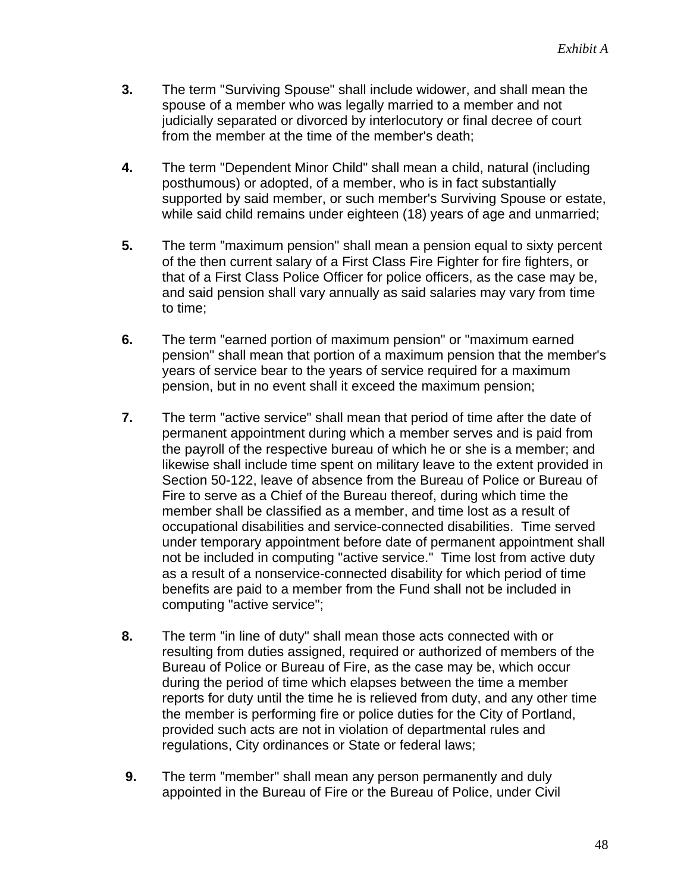- **3.** The term "Surviving Spouse" shall include widower, and shall mean the spouse of a member who was legally married to a member and not judicially separated or divorced by interlocutory or final decree of court from the member at the time of the member's death;
- **4.** The term "Dependent Minor Child" shall mean a child, natural (including posthumous) or adopted, of a member, who is in fact substantially supported by said member, or such member's Surviving Spouse or estate, while said child remains under eighteen (18) years of age and unmarried;
- **5.** The term "maximum pension" shall mean a pension equal to sixty percent of the then current salary of a First Class Fire Fighter for fire fighters, or that of a First Class Police Officer for police officers, as the case may be, and said pension shall vary annually as said salaries may vary from time to time;
- **6.** The term "earned portion of maximum pension" or "maximum earned pension" shall mean that portion of a maximum pension that the member's years of service bear to the years of service required for a maximum pension, but in no event shall it exceed the maximum pension;
- **7.** The term "active service" shall mean that period of time after the date of permanent appointment during which a member serves and is paid from the payroll of the respective bureau of which he or she is a member; and likewise shall include time spent on military leave to the extent provided in Section 50-122, leave of absence from the Bureau of Police or Bureau of Fire to serve as a Chief of the Bureau thereof, during which time the member shall be classified as a member, and time lost as a result of occupational disabilities and service-connected disabilities. Time served under temporary appointment before date of permanent appointment shall not be included in computing "active service." Time lost from active duty as a result of a nonservice-connected disability for which period of time benefits are paid to a member from the Fund shall not be included in computing "active service";
- **8.** The term "in line of duty" shall mean those acts connected with or resulting from duties assigned, required or authorized of members of the Bureau of Police or Bureau of Fire, as the case may be, which occur during the period of time which elapses between the time a member reports for duty until the time he is relieved from duty, and any other time the member is performing fire or police duties for the City of Portland, provided such acts are not in violation of departmental rules and regulations, City ordinances or State or federal laws;
- **9.** The term "member" shall mean any person permanently and duly appointed in the Bureau of Fire or the Bureau of Police, under Civil